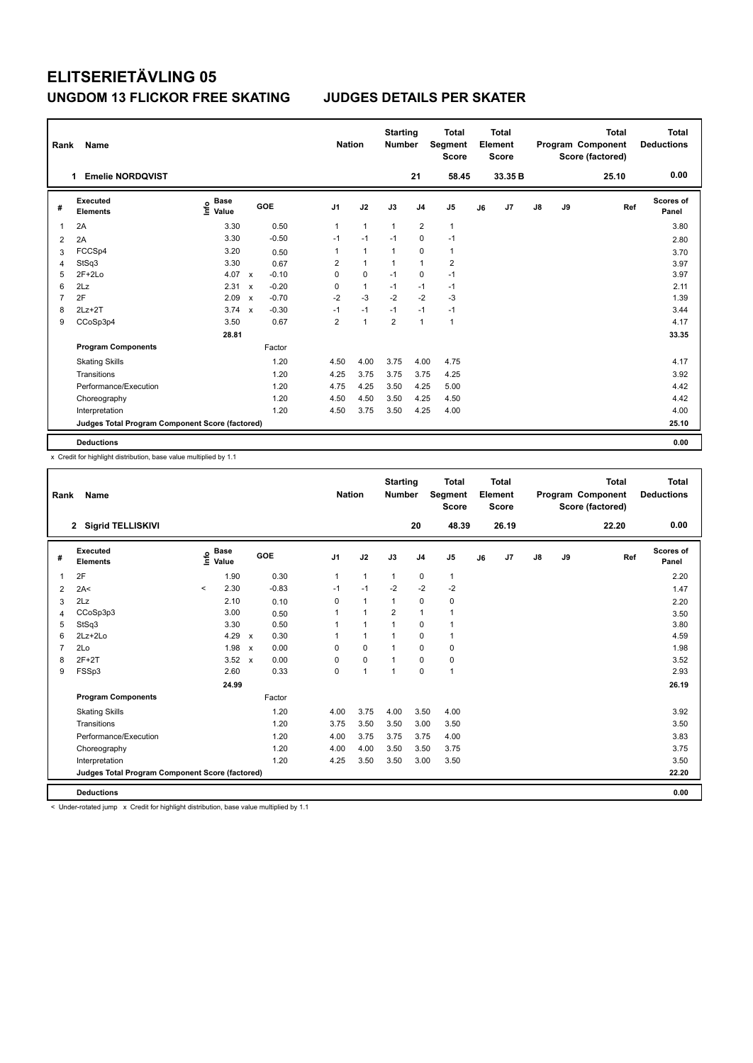| Rank | Name                                            |                                  |                           |         |                | <b>Nation</b> | <b>Starting</b><br><b>Number</b> |                         | <b>Total</b><br>Segment<br><b>Score</b> |    | <b>Total</b><br>Element<br><b>Score</b> |               |    | <b>Total</b><br>Program Component<br>Score (factored) | <b>Total</b><br><b>Deductions</b> |
|------|-------------------------------------------------|----------------------------------|---------------------------|---------|----------------|---------------|----------------------------------|-------------------------|-----------------------------------------|----|-----------------------------------------|---------------|----|-------------------------------------------------------|-----------------------------------|
|      | <b>Emelie NORDQVIST</b>                         |                                  |                           |         |                |               |                                  | 21                      | 58.45                                   |    | 33.35 B                                 |               |    | 25.10                                                 | 0.00                              |
| #    | <b>Executed</b><br><b>Elements</b>              | <b>Base</b><br>e Base<br>⊆ Value |                           | GOE     | J <sub>1</sub> | J2            | J3                               | J <sub>4</sub>          | J <sub>5</sub>                          | J6 | J7                                      | $\mathsf{J}8$ | J9 | Ref                                                   | <b>Scores of</b><br>Panel         |
| 1    | 2A                                              | 3.30                             |                           | 0.50    | 1              | $\mathbf{1}$  | 1                                | $\overline{\mathbf{c}}$ | $\overline{1}$                          |    |                                         |               |    |                                                       | 3.80                              |
| 2    | 2A                                              | 3.30                             |                           | $-0.50$ | $-1$           | $-1$          | $-1$                             | $\mathbf 0$             | $-1$                                    |    |                                         |               |    |                                                       | 2.80                              |
| 3    | FCCSp4                                          | 3.20                             |                           | 0.50    | 1              | $\mathbf{1}$  | 1                                | $\mathbf 0$             | $\mathbf{1}$                            |    |                                         |               |    |                                                       | 3.70                              |
| 4    | StSq3                                           | 3.30                             |                           | 0.67    | $\overline{2}$ | $\mathbf{1}$  | $\mathbf{1}$                     | $\mathbf{1}$            | $\overline{2}$                          |    |                                         |               |    |                                                       | 3.97                              |
| 5    | $2F+2Lo$                                        | 4.07                             | $\mathsf{x}$              | $-0.10$ | 0              | $\mathbf 0$   | $-1$                             | 0                       | $-1$                                    |    |                                         |               |    |                                                       | 3.97                              |
| 6    | 2Lz                                             | 2.31                             | $\boldsymbol{\mathsf{x}}$ | $-0.20$ | 0              | $\mathbf{1}$  | $-1$                             | $-1$                    | $-1$                                    |    |                                         |               |    |                                                       | 2.11                              |
| 7    | 2F                                              | 2.09                             | $\boldsymbol{\mathsf{x}}$ | $-0.70$ | $-2$           | $-3$          | $-2$                             | $-2$                    | -3                                      |    |                                         |               |    |                                                       | 1.39                              |
| 8    | $2Lz+2T$                                        | 3.74                             | $\boldsymbol{\mathsf{x}}$ | $-0.30$ | $-1$           | $-1$          | $-1$                             | $-1$                    | $-1$                                    |    |                                         |               |    |                                                       | 3.44                              |
| 9    | CCoSp3p4                                        | 3.50                             |                           | 0.67    | $\overline{2}$ | 1             | $\overline{2}$                   | $\mathbf{1}$            | $\overline{1}$                          |    |                                         |               |    |                                                       | 4.17                              |
|      |                                                 | 28.81                            |                           |         |                |               |                                  |                         |                                         |    |                                         |               |    |                                                       | 33.35                             |
|      | <b>Program Components</b>                       |                                  |                           | Factor  |                |               |                                  |                         |                                         |    |                                         |               |    |                                                       |                                   |
|      | <b>Skating Skills</b>                           |                                  |                           | 1.20    | 4.50           | 4.00          | 3.75                             | 4.00                    | 4.75                                    |    |                                         |               |    |                                                       | 4.17                              |
|      | Transitions                                     |                                  |                           | 1.20    | 4.25           | 3.75          | 3.75                             | 3.75                    | 4.25                                    |    |                                         |               |    |                                                       | 3.92                              |
|      | Performance/Execution                           |                                  |                           | 1.20    | 4.75           | 4.25          | 3.50                             | 4.25                    | 5.00                                    |    |                                         |               |    |                                                       | 4.42                              |
|      | Choreography                                    |                                  |                           | 1.20    | 4.50           | 4.50          | 3.50                             | 4.25                    | 4.50                                    |    |                                         |               |    |                                                       | 4.42                              |
|      | Interpretation                                  |                                  |                           | 1.20    | 4.50           | 3.75          | 3.50                             | 4.25                    | 4.00                                    |    |                                         |               |    |                                                       | 4.00                              |
|      | Judges Total Program Component Score (factored) |                                  |                           |         |                |               |                                  |                         |                                         |    |                                         |               |    |                                                       | 25.10                             |
|      | <b>Deductions</b>                               |                                  |                           |         |                |               |                                  |                         |                                         |    |                                         |               |    |                                                       | 0.00                              |

x Credit for highlight distribution, base value multiplied by 1.1

| Rank           | Name                                            |         |                                  |                           |         | <b>Nation</b>  |                | <b>Starting</b><br><b>Number</b> |                | <b>Total</b><br>Segment<br><b>Score</b> |    | Total<br>Element<br><b>Score</b> |               |    | <b>Total</b><br>Program Component<br>Score (factored) | Total<br><b>Deductions</b> |
|----------------|-------------------------------------------------|---------|----------------------------------|---------------------------|---------|----------------|----------------|----------------------------------|----------------|-----------------------------------------|----|----------------------------------|---------------|----|-------------------------------------------------------|----------------------------|
|                | 2 Sigrid TELLISKIVI                             |         |                                  |                           |         |                |                |                                  | 20             | 48.39                                   |    | 26.19                            |               |    | 22.20                                                 | 0.00                       |
| #              | Executed<br><b>Elements</b>                     |         | <b>Base</b><br>e Base<br>⊆ Value | GOE                       |         | J <sub>1</sub> | J2             | J3                               | J <sub>4</sub> | J <sub>5</sub>                          | J6 | J7                               | $\mathsf{J}8$ | J9 | Ref                                                   | <b>Scores of</b><br>Panel  |
| 1              | 2F                                              |         | 1.90                             |                           | 0.30    | 1              | $\mathbf{1}$   | $\mathbf{1}$                     | $\mathbf 0$    | $\mathbf{1}$                            |    |                                  |               |    |                                                       | 2.20                       |
| $\overline{2}$ | 2A<                                             | $\prec$ | 2.30                             |                           | $-0.83$ | $-1$           | $-1$           | $-2$                             | $-2$           | $-2$                                    |    |                                  |               |    |                                                       | 1.47                       |
| 3              | 2Lz                                             |         | 2.10                             |                           | 0.10    | $\Omega$       | $\mathbf{1}$   | 1                                | 0              | 0                                       |    |                                  |               |    |                                                       | 2.20                       |
| 4              | CCoSp3p3                                        |         | 3.00                             |                           | 0.50    | 1              | $\overline{1}$ | $\overline{2}$                   | $\mathbf{1}$   | $\mathbf{1}$                            |    |                                  |               |    |                                                       | 3.50                       |
| 5              | StSq3                                           |         | 3.30                             |                           | 0.50    |                | $\overline{1}$ | 1                                | 0              | 1                                       |    |                                  |               |    |                                                       | 3.80                       |
| 6              | $2Lz+2Lo$                                       |         | 4.29                             | $\mathsf{x}$              | 0.30    |                | $\mathbf{1}$   |                                  | 0              | $\mathbf{1}$                            |    |                                  |               |    |                                                       | 4.59                       |
| $\overline{7}$ | 2Lo                                             |         | 1.98                             | $\boldsymbol{\mathsf{x}}$ | 0.00    | 0              | $\mathbf 0$    |                                  | 0              | 0                                       |    |                                  |               |    |                                                       | 1.98                       |
| 8              | $2F+2T$                                         |         | 3.52                             | $\mathbf{x}$              | 0.00    | $\Omega$       | $\mathbf 0$    | 1                                | 0              | 0                                       |    |                                  |               |    |                                                       | 3.52                       |
| 9              | FSSp3                                           |         | 2.60                             |                           | 0.33    | 0              | $\mathbf{1}$   | $\overline{1}$                   | 0              | $\mathbf{1}$                            |    |                                  |               |    |                                                       | 2.93                       |
|                |                                                 |         | 24.99                            |                           |         |                |                |                                  |                |                                         |    |                                  |               |    |                                                       | 26.19                      |
|                | <b>Program Components</b>                       |         |                                  |                           | Factor  |                |                |                                  |                |                                         |    |                                  |               |    |                                                       |                            |
|                | <b>Skating Skills</b>                           |         |                                  |                           | 1.20    | 4.00           | 3.75           | 4.00                             | 3.50           | 4.00                                    |    |                                  |               |    |                                                       | 3.92                       |
|                | Transitions                                     |         |                                  |                           | 1.20    | 3.75           | 3.50           | 3.50                             | 3.00           | 3.50                                    |    |                                  |               |    |                                                       | 3.50                       |
|                | Performance/Execution                           |         |                                  |                           | 1.20    | 4.00           | 3.75           | 3.75                             | 3.75           | 4.00                                    |    |                                  |               |    |                                                       | 3.83                       |
|                | Choreography                                    |         |                                  |                           | 1.20    | 4.00           | 4.00           | 3.50                             | 3.50           | 3.75                                    |    |                                  |               |    |                                                       | 3.75                       |
|                | Interpretation                                  |         |                                  |                           | 1.20    | 4.25           | 3.50           | 3.50                             | 3.00           | 3.50                                    |    |                                  |               |    |                                                       | 3.50                       |
|                | Judges Total Program Component Score (factored) |         |                                  |                           |         |                |                |                                  |                |                                         |    |                                  |               |    |                                                       | 22.20                      |
|                | <b>Deductions</b>                               |         |                                  |                           |         |                |                |                                  |                |                                         |    |                                  |               |    |                                                       | 0.00                       |

< Under-rotated jump x Credit for highlight distribution, base value multiplied by 1.1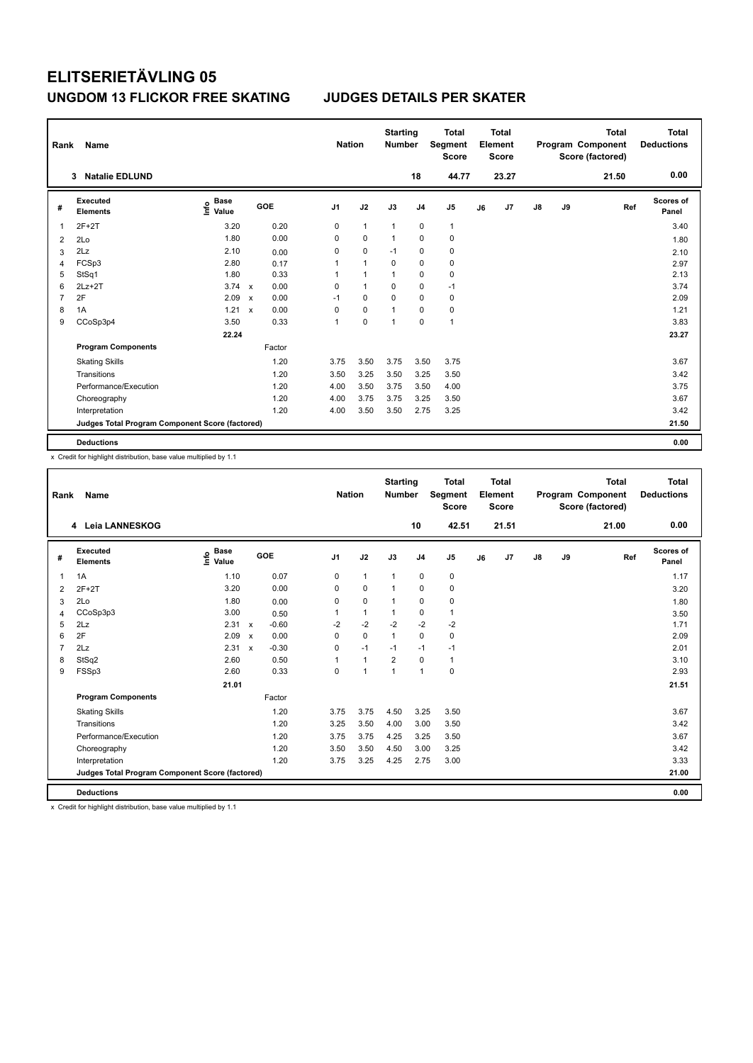| Rank | Name                                            |                                  |                           |        |                | <b>Nation</b>  | <b>Starting</b><br><b>Number</b> |                | <b>Total</b><br>Segment<br><b>Score</b> |    | <b>Total</b><br>Element<br>Score |               |    | <b>Total</b><br>Program Component<br>Score (factored) | <b>Total</b><br><b>Deductions</b> |
|------|-------------------------------------------------|----------------------------------|---------------------------|--------|----------------|----------------|----------------------------------|----------------|-----------------------------------------|----|----------------------------------|---------------|----|-------------------------------------------------------|-----------------------------------|
|      | <b>Natalie EDLUND</b><br>3                      |                                  |                           |        |                |                |                                  | 18             | 44.77                                   |    | 23.27                            |               |    | 21.50                                                 | 0.00                              |
| #    | Executed<br><b>Elements</b>                     | <b>Base</b><br>e Base<br>⊆ Value |                           | GOE    | J <sub>1</sub> | J2             | J3                               | J <sub>4</sub> | J5                                      | J6 | J7                               | $\mathsf{J}8$ | J9 | Ref                                                   | Scores of<br>Panel                |
| 1    | $2F+2T$                                         | 3.20                             |                           | 0.20   | 0              | $\mathbf{1}$   | $\mathbf{1}$                     | 0              | $\mathbf{1}$                            |    |                                  |               |    |                                                       | 3.40                              |
| 2    | 2Lo                                             | 1.80                             |                           | 0.00   | 0              | $\mathbf 0$    | -1                               | $\mathbf 0$    | $\pmb{0}$                               |    |                                  |               |    |                                                       | 1.80                              |
| 3    | 2Lz                                             | 2.10                             |                           | 0.00   | 0              | $\mathbf 0$    | $-1$                             | 0              | 0                                       |    |                                  |               |    |                                                       | 2.10                              |
| 4    | FCSp3                                           | 2.80                             |                           | 0.17   | 1              | $\mathbf{1}$   | $\mathbf 0$                      | $\mathbf 0$    | $\pmb{0}$                               |    |                                  |               |    |                                                       | 2.97                              |
| 5    | StSq1                                           | 1.80                             |                           | 0.33   | 1              | $\overline{1}$ | 1                                | 0              | $\pmb{0}$                               |    |                                  |               |    |                                                       | 2.13                              |
| 6    | $2Lz+2T$                                        | 3.74                             | $\mathsf{x}$              | 0.00   | 0              | $\mathbf{1}$   | 0                                | $\mathbf 0$    | $-1$                                    |    |                                  |               |    |                                                       | 3.74                              |
| 7    | 2F                                              | 2.09                             | $\boldsymbol{\mathsf{x}}$ | 0.00   | $-1$           | $\mathbf 0$    | $\mathbf 0$                      | $\mathbf 0$    | $\pmb{0}$                               |    |                                  |               |    |                                                       | 2.09                              |
| 8    | 1A                                              | 1.21                             | $\boldsymbol{\mathsf{x}}$ | 0.00   | 0              | $\mathbf 0$    | 1                                | 0              | $\pmb{0}$                               |    |                                  |               |    |                                                       | 1.21                              |
| 9    | CCoSp3p4                                        | 3.50                             |                           | 0.33   | 1              | 0              | 1                                | $\mathbf 0$    | $\mathbf{1}$                            |    |                                  |               |    |                                                       | 3.83                              |
|      |                                                 | 22.24                            |                           |        |                |                |                                  |                |                                         |    |                                  |               |    |                                                       | 23.27                             |
|      | <b>Program Components</b>                       |                                  |                           | Factor |                |                |                                  |                |                                         |    |                                  |               |    |                                                       |                                   |
|      | <b>Skating Skills</b>                           |                                  |                           | 1.20   | 3.75           | 3.50           | 3.75                             | 3.50           | 3.75                                    |    |                                  |               |    |                                                       | 3.67                              |
|      | Transitions                                     |                                  |                           | 1.20   | 3.50           | 3.25           | 3.50                             | 3.25           | 3.50                                    |    |                                  |               |    |                                                       | 3.42                              |
|      | Performance/Execution                           |                                  |                           | 1.20   | 4.00           | 3.50           | 3.75                             | 3.50           | 4.00                                    |    |                                  |               |    |                                                       | 3.75                              |
|      | Choreography                                    |                                  |                           | 1.20   | 4.00           | 3.75           | 3.75                             | 3.25           | 3.50                                    |    |                                  |               |    |                                                       | 3.67                              |
|      | Interpretation                                  |                                  |                           | 1.20   | 4.00           | 3.50           | 3.50                             | 2.75           | 3.25                                    |    |                                  |               |    |                                                       | 3.42                              |
|      | Judges Total Program Component Score (factored) |                                  |                           |        |                |                |                                  |                |                                         |    |                                  |               |    |                                                       | 21.50                             |
|      | <b>Deductions</b>                               |                                  |                           |        |                |                |                                  |                |                                         |    |                                  |               |    |                                                       | 0.00                              |

x Credit for highlight distribution, base value multiplied by 1.1

| Rank           | <b>Name</b>                                     |                                  |                                      | <b>Nation</b>  |                | <b>Starting</b><br><b>Number</b> |                | <b>Total</b><br>Segment<br><b>Score</b> |    | Total<br>Element<br><b>Score</b> |    |    | <b>Total</b><br>Program Component<br>Score (factored) | Total<br><b>Deductions</b> |
|----------------|-------------------------------------------------|----------------------------------|--------------------------------------|----------------|----------------|----------------------------------|----------------|-----------------------------------------|----|----------------------------------|----|----|-------------------------------------------------------|----------------------------|
|                | 4 Leia LANNESKOG                                |                                  |                                      |                |                |                                  | 10             | 42.51                                   |    | 21.51                            |    |    | 21.00                                                 | 0.00                       |
| #              | Executed<br><b>Elements</b>                     | <b>Base</b><br>e Base<br>⊆ Value | GOE                                  | J <sub>1</sub> | J2             | J3                               | J <sub>4</sub> | J <sub>5</sub>                          | J6 | J7                               | J8 | J9 | Ref                                                   | <b>Scores of</b><br>Panel  |
| $\overline{1}$ | 1A                                              | 1.10                             | 0.07                                 | $\mathbf 0$    | $\mathbf{1}$   | $\mathbf{1}$                     | 0              | $\pmb{0}$                               |    |                                  |    |    |                                                       | 1.17                       |
| 2              | $2F+2T$                                         | 3.20                             | 0.00                                 | 0              | 0              | $\mathbf{1}$                     | 0              | 0                                       |    |                                  |    |    |                                                       | 3.20                       |
| 3              | 2Lo                                             | 1.80                             | 0.00                                 | 0              | $\mathbf 0$    | $\mathbf{1}$                     | $\mathbf 0$    | $\pmb{0}$                               |    |                                  |    |    |                                                       | 1.80                       |
| 4              | CCoSp3p3                                        | 3.00                             | 0.50                                 | $\mathbf{1}$   | $\mathbf{1}$   | $\mathbf{1}$                     | $\mathbf 0$    | $\mathbf{1}$                            |    |                                  |    |    |                                                       | 3.50                       |
| 5              | 2Lz                                             | 2.31                             | $-0.60$<br>$\mathsf{x}$              | $-2$           | $-2$           | $-2$                             | $-2$           | $-2$                                    |    |                                  |    |    |                                                       | 1.71                       |
| 6              | 2F                                              | 2.09                             | 0.00<br>$\boldsymbol{\mathsf{x}}$    | $\Omega$       | $\Omega$       | $\mathbf{1}$                     | $\mathbf 0$    | $\pmb{0}$                               |    |                                  |    |    |                                                       | 2.09                       |
| $\overline{7}$ | 2Lz                                             | 2.31                             | $-0.30$<br>$\boldsymbol{\mathsf{x}}$ | 0              | $-1$           | $-1$                             | $-1$           | $-1$                                    |    |                                  |    |    |                                                       | 2.01                       |
| 8              | StSq2                                           | 2.60                             | 0.50                                 | 1              | $\mathbf{1}$   | $\overline{2}$                   | $\mathbf 0$    | $\mathbf{1}$                            |    |                                  |    |    |                                                       | 3.10                       |
| 9              | FSSp3                                           | 2.60                             | 0.33                                 | 0              | $\overline{1}$ | 1                                | $\mathbf{1}$   | 0                                       |    |                                  |    |    |                                                       | 2.93                       |
|                |                                                 | 21.01                            |                                      |                |                |                                  |                |                                         |    |                                  |    |    |                                                       | 21.51                      |
|                | <b>Program Components</b>                       |                                  | Factor                               |                |                |                                  |                |                                         |    |                                  |    |    |                                                       |                            |
|                | <b>Skating Skills</b>                           |                                  | 1.20                                 | 3.75           | 3.75           | 4.50                             | 3.25           | 3.50                                    |    |                                  |    |    |                                                       | 3.67                       |
|                | Transitions                                     |                                  | 1.20                                 | 3.25           | 3.50           | 4.00                             | 3.00           | 3.50                                    |    |                                  |    |    |                                                       | 3.42                       |
|                | Performance/Execution                           |                                  | 1.20                                 | 3.75           | 3.75           | 4.25                             | 3.25           | 3.50                                    |    |                                  |    |    |                                                       | 3.67                       |
|                | Choreography                                    |                                  | 1.20                                 | 3.50           | 3.50           | 4.50                             | 3.00           | 3.25                                    |    |                                  |    |    |                                                       | 3.42                       |
|                | Interpretation                                  |                                  | 1.20                                 | 3.75           | 3.25           | 4.25                             | 2.75           | 3.00                                    |    |                                  |    |    |                                                       | 3.33                       |
|                | Judges Total Program Component Score (factored) |                                  |                                      |                |                |                                  |                |                                         |    |                                  |    |    |                                                       | 21.00                      |
|                | <b>Deductions</b>                               |                                  |                                      |                |                |                                  |                |                                         |    |                                  |    |    |                                                       | 0.00                       |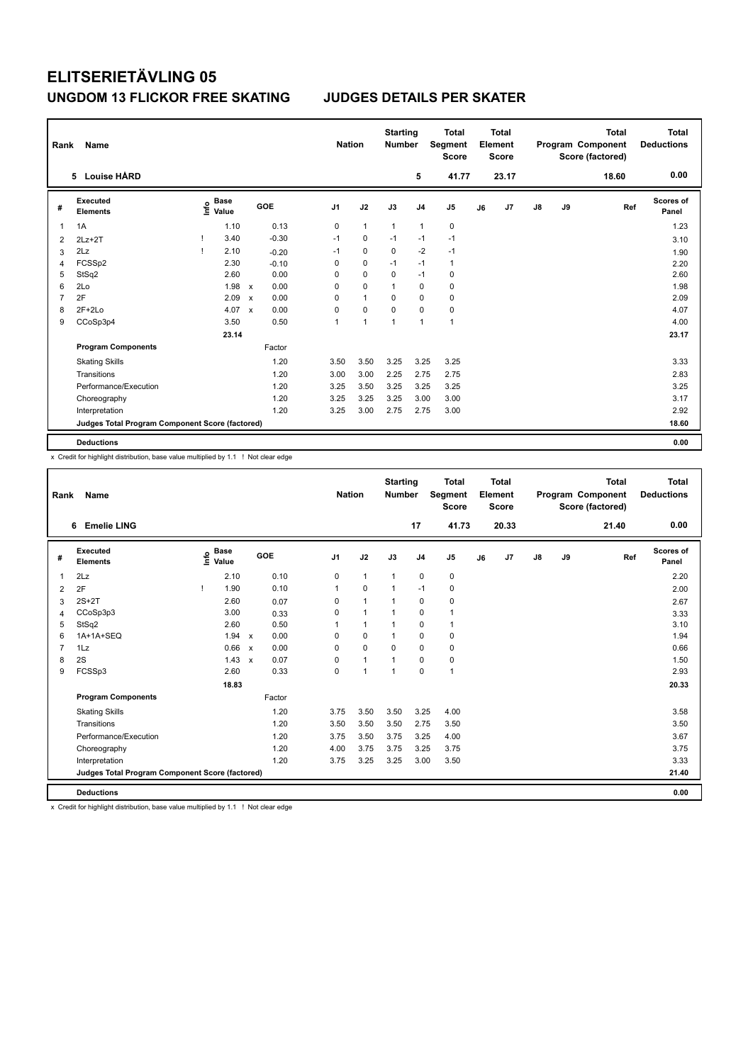| Rank | Name                                            |                                  |              |         |                | <b>Nation</b> | <b>Starting</b><br>Number |                | <b>Total</b><br>Segment<br><b>Score</b> |    | <b>Total</b><br>Element<br><b>Score</b> |    |    | <b>Total</b><br>Program Component<br>Score (factored) | <b>Total</b><br><b>Deductions</b> |
|------|-------------------------------------------------|----------------------------------|--------------|---------|----------------|---------------|---------------------------|----------------|-----------------------------------------|----|-----------------------------------------|----|----|-------------------------------------------------------|-----------------------------------|
|      | <b>Louise HÅRD</b><br>5                         |                                  |              |         |                |               |                           | 5              | 41.77                                   |    | 23.17                                   |    |    | 18.60                                                 | 0.00                              |
| #    | <b>Executed</b><br><b>Elements</b>              | <b>Base</b><br>e Base<br>⊆ Value |              | GOE     | J <sub>1</sub> | J2            | J3                        | J <sub>4</sub> | J <sub>5</sub>                          | J6 | J7                                      | J8 | J9 | Ref                                                   | <b>Scores of</b><br>Panel         |
| 1    | 1A                                              | 1.10                             |              | 0.13    | 0              | $\mathbf{1}$  | $\mathbf{1}$              | $\overline{1}$ | $\pmb{0}$                               |    |                                         |    |    |                                                       | 1.23                              |
| 2    | $2Lz+2T$                                        | 3.40                             |              | $-0.30$ | $-1$           | $\mathbf 0$   | $-1$                      | $-1$           | $-1$                                    |    |                                         |    |    |                                                       | 3.10                              |
| 3    | 2Lz                                             | 2.10                             |              | $-0.20$ | $-1$           | 0             | $\mathbf 0$               | $-2$           | $-1$                                    |    |                                         |    |    |                                                       | 1.90                              |
| 4    | FCSSp2                                          | 2.30                             |              | $-0.10$ | 0              | $\mathbf 0$   | $-1$                      | $-1$           | $\mathbf{1}$                            |    |                                         |    |    |                                                       | 2.20                              |
| 5    | StSq2                                           | 2.60                             |              | 0.00    | 0              | $\mathbf 0$   | $\Omega$                  | $-1$           | 0                                       |    |                                         |    |    |                                                       | 2.60                              |
| 6    | 2Lo                                             | 1.98                             | $\mathsf{x}$ | 0.00    | 0              | $\mathbf 0$   | 1                         | $\mathbf 0$    | $\mathbf 0$                             |    |                                         |    |    |                                                       | 1.98                              |
| 7    | 2F                                              | 2.09                             | $\mathsf{x}$ | 0.00    | 0              | $\mathbf{1}$  | 0                         | 0              | 0                                       |    |                                         |    |    |                                                       | 2.09                              |
| 8    | $2F+2Lo$                                        | 4.07                             | $\mathsf{x}$ | 0.00    | 0              | $\mathbf 0$   | 0                         | 0              | 0                                       |    |                                         |    |    |                                                       | 4.07                              |
| 9    | CCoSp3p4                                        | 3.50                             |              | 0.50    | 1              | 1             | 1                         | $\mathbf{1}$   | $\overline{1}$                          |    |                                         |    |    |                                                       | 4.00                              |
|      |                                                 | 23.14                            |              |         |                |               |                           |                |                                         |    |                                         |    |    |                                                       | 23.17                             |
|      | <b>Program Components</b>                       |                                  |              | Factor  |                |               |                           |                |                                         |    |                                         |    |    |                                                       |                                   |
|      | <b>Skating Skills</b>                           |                                  |              | 1.20    | 3.50           | 3.50          | 3.25                      | 3.25           | 3.25                                    |    |                                         |    |    |                                                       | 3.33                              |
|      | Transitions                                     |                                  |              | 1.20    | 3.00           | 3.00          | 2.25                      | 2.75           | 2.75                                    |    |                                         |    |    |                                                       | 2.83                              |
|      | Performance/Execution                           |                                  |              | 1.20    | 3.25           | 3.50          | 3.25                      | 3.25           | 3.25                                    |    |                                         |    |    |                                                       | 3.25                              |
|      | Choreography                                    |                                  |              | 1.20    | 3.25           | 3.25          | 3.25                      | 3.00           | 3.00                                    |    |                                         |    |    |                                                       | 3.17                              |
|      | Interpretation                                  |                                  |              | 1.20    | 3.25           | 3.00          | 2.75                      | 2.75           | 3.00                                    |    |                                         |    |    |                                                       | 2.92                              |
|      | Judges Total Program Component Score (factored) |                                  |              |         |                |               |                           |                |                                         |    |                                         |    |    |                                                       | 18.60                             |
|      | <b>Deductions</b>                               |                                  |              |         |                |               |                           |                |                                         |    |                                         |    |    |                                                       | 0.00                              |

x Credit for highlight distribution, base value multiplied by 1.1 ! Not clear edge

| Rank           | Name                                            |                                  |       |                      |                | <b>Nation</b> | <b>Starting</b><br><b>Number</b> |                | <b>Total</b><br>Segment<br><b>Score</b> |    | <b>Total</b><br>Element<br><b>Score</b> |    |    | <b>Total</b><br>Program Component<br>Score (factored) | <b>Total</b><br><b>Deductions</b> |
|----------------|-------------------------------------------------|----------------------------------|-------|----------------------|----------------|---------------|----------------------------------|----------------|-----------------------------------------|----|-----------------------------------------|----|----|-------------------------------------------------------|-----------------------------------|
|                | <b>Emelie LING</b><br>6                         |                                  |       |                      |                |               |                                  | 17             | 41.73                                   |    | 20.33                                   |    |    | 21.40                                                 | 0.00                              |
| #              | Executed<br><b>Elements</b>                     | <b>Base</b><br>e Base<br>⊆ Value |       | GOE                  | J <sub>1</sub> | J2            | J3                               | J <sub>4</sub> | J <sub>5</sub>                          | J6 | J7                                      | J8 | J9 | Ref                                                   | <b>Scores of</b><br>Panel         |
| 1              | 2Lz                                             |                                  | 2.10  | 0.10                 | 0              | $\mathbf{1}$  | $\mathbf{1}$                     | $\mathbf 0$    | 0                                       |    |                                         |    |    |                                                       | 2.20                              |
| 2              | 2F                                              | Ţ                                | 1.90  | 0.10                 | 1              | $\mathbf 0$   | $\mathbf{1}$                     | $-1$           | 0                                       |    |                                         |    |    |                                                       | 2.00                              |
| 3              | $2S+2T$                                         |                                  | 2.60  | 0.07                 | $\Omega$       | $\mathbf{1}$  | 1                                | 0              | 0                                       |    |                                         |    |    |                                                       | 2.67                              |
| $\overline{4}$ | CCoSp3p3                                        |                                  | 3.00  | 0.33                 | $\Omega$       | $\mathbf{1}$  | $\mathbf{1}$                     | $\Omega$       | 1                                       |    |                                         |    |    |                                                       | 3.33                              |
| 5              | StSq2                                           |                                  | 2.60  | 0.50                 |                | $\mathbf{1}$  | $\mathbf{1}$                     | $\mathbf 0$    | 1                                       |    |                                         |    |    |                                                       | 3.10                              |
| 6              | 1A+1A+SEQ                                       |                                  | 1.94  | 0.00<br>$\mathsf{x}$ | 0              | $\mathbf 0$   | 1                                | 0              | 0                                       |    |                                         |    |    |                                                       | 1.94                              |
| $\overline{7}$ | 1Lz                                             |                                  | 0.66  | 0.00<br>$\mathsf{x}$ | $\mathbf 0$    | $\mathbf 0$   | $\Omega$                         | $\Omega$       | 0                                       |    |                                         |    |    |                                                       | 0.66                              |
| 8              | 2S                                              |                                  | 1.43  | 0.07<br>$\mathsf{x}$ | 0              | $\mathbf{1}$  | $\mathbf{1}$                     | $\mathbf 0$    | 0                                       |    |                                         |    |    |                                                       | 1.50                              |
| 9              | FCSSp3                                          |                                  | 2.60  | 0.33                 | $\mathbf 0$    | $\mathbf{1}$  | $\mathbf{1}$                     | $\mathbf 0$    | $\overline{1}$                          |    |                                         |    |    |                                                       | 2.93                              |
|                |                                                 |                                  | 18.83 |                      |                |               |                                  |                |                                         |    |                                         |    |    |                                                       | 20.33                             |
|                | <b>Program Components</b>                       |                                  |       | Factor               |                |               |                                  |                |                                         |    |                                         |    |    |                                                       |                                   |
|                | <b>Skating Skills</b>                           |                                  |       | 1.20                 | 3.75           | 3.50          | 3.50                             | 3.25           | 4.00                                    |    |                                         |    |    |                                                       | 3.58                              |
|                | Transitions                                     |                                  |       | 1.20                 | 3.50           | 3.50          | 3.50                             | 2.75           | 3.50                                    |    |                                         |    |    |                                                       | 3.50                              |
|                | Performance/Execution                           |                                  |       | 1.20                 | 3.75           | 3.50          | 3.75                             | 3.25           | 4.00                                    |    |                                         |    |    |                                                       | 3.67                              |
|                | Choreography                                    |                                  |       | 1.20                 | 4.00           | 3.75          | 3.75                             | 3.25           | 3.75                                    |    |                                         |    |    |                                                       | 3.75                              |
|                | Interpretation                                  |                                  |       | 1.20                 | 3.75           | 3.25          | 3.25                             | 3.00           | 3.50                                    |    |                                         |    |    |                                                       | 3.33                              |
|                | Judges Total Program Component Score (factored) |                                  |       |                      |                |               |                                  |                |                                         |    |                                         |    |    |                                                       | 21.40                             |
|                | <b>Deductions</b>                               |                                  |       |                      |                |               |                                  |                |                                         |    |                                         |    |    |                                                       | 0.00                              |

x Credit for highlight distribution, base value multiplied by 1.1 ! Not clear edge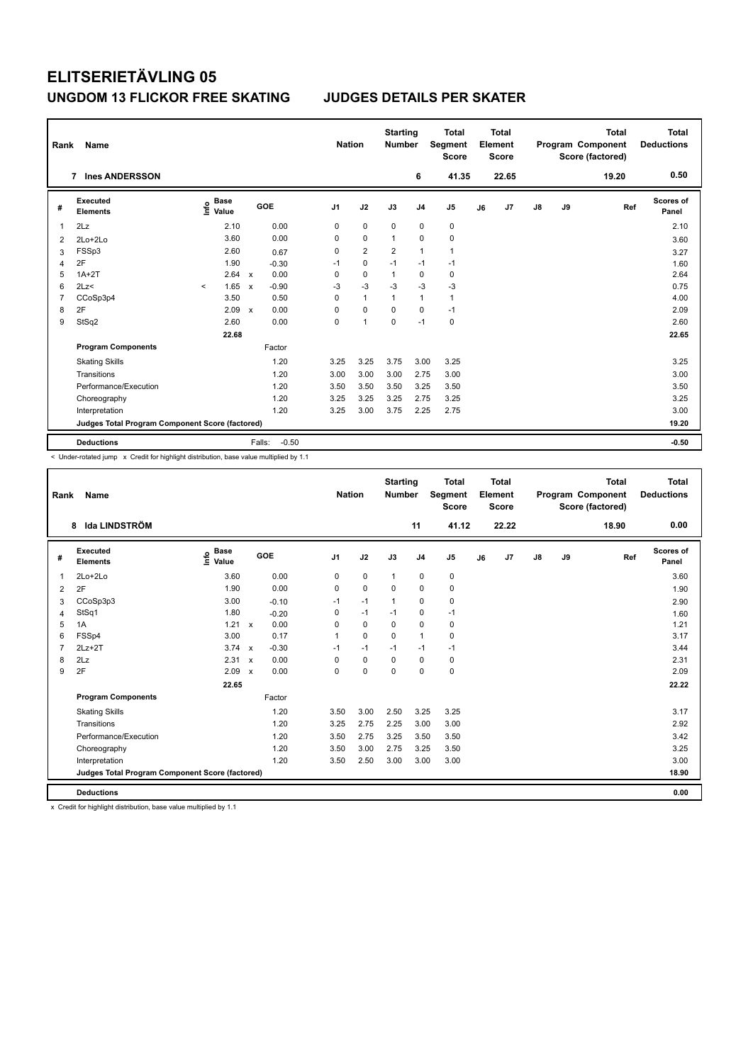| Rank | Name                                            |                           |              |         | <b>Nation</b>  |                | <b>Starting</b><br><b>Number</b> |                | <b>Total</b><br>Segment<br><b>Score</b> |    | <b>Total</b><br>Element<br><b>Score</b> |    |    | <b>Total</b><br>Program Component<br>Score (factored) | <b>Total</b><br><b>Deductions</b> |
|------|-------------------------------------------------|---------------------------|--------------|---------|----------------|----------------|----------------------------------|----------------|-----------------------------------------|----|-----------------------------------------|----|----|-------------------------------------------------------|-----------------------------------|
|      | <b>Ines ANDERSSON</b><br>$\overline{7}$         |                           |              |         |                |                |                                  | 6              | 41.35                                   |    | 22.65                                   |    |    | 19.20                                                 | 0.50                              |
| #    | Executed<br><b>Elements</b>                     | Base<br>e Base<br>E Value |              | GOE     | J <sub>1</sub> | J2             | J3                               | J <sub>4</sub> | J <sub>5</sub>                          | J6 | J7                                      | J8 | J9 | Ref                                                   | <b>Scores of</b><br>Panel         |
| 1    | 2Lz                                             | 2.10                      |              | 0.00    | 0              | $\mathbf 0$    | $\mathbf 0$                      | $\mathbf 0$    | $\pmb{0}$                               |    |                                         |    |    |                                                       | 2.10                              |
| 2    | 2Lo+2Lo                                         | 3.60                      |              | 0.00    | 0              | $\mathbf 0$    | $\mathbf{1}$                     | $\Omega$       | $\mathbf 0$                             |    |                                         |    |    |                                                       | 3.60                              |
| 3    | FSSp3                                           | 2.60                      |              | 0.67    | 0              | $\overline{2}$ | $\overline{2}$                   | $\overline{1}$ | $\mathbf{1}$                            |    |                                         |    |    |                                                       | 3.27                              |
| 4    | 2F                                              | 1.90                      |              | $-0.30$ | $-1$           | 0              | $-1$                             | $-1$           | $-1$                                    |    |                                         |    |    |                                                       | 1.60                              |
| 5    | $1A+2T$                                         | 2.64                      | $\mathbf{x}$ | 0.00    | 0              | $\mathbf 0$    | $\mathbf{1}$                     | $\mathbf 0$    | $\pmb{0}$                               |    |                                         |    |    |                                                       | 2.64                              |
| 6    | 2Lz                                             | 1.65<br>$\prec$           | $\mathsf{x}$ | $-0.90$ | $-3$           | $-3$           | $-3$                             | $-3$           | $-3$                                    |    |                                         |    |    |                                                       | 0.75                              |
| 7    | CCoSp3p4                                        | 3.50                      |              | 0.50    | 0              | $\mathbf{1}$   | 1                                | $\mathbf{1}$   | $\mathbf{1}$                            |    |                                         |    |    |                                                       | 4.00                              |
| 8    | 2F                                              | 2.09                      | $\mathbf{x}$ | 0.00    | 0              | $\mathbf 0$    | $\mathbf 0$                      | $\mathbf 0$    | $-1$                                    |    |                                         |    |    |                                                       | 2.09                              |
| 9    | StSq2                                           | 2.60                      |              | 0.00    | 0              | 1              | $\mathbf 0$                      | $-1$           | $\pmb{0}$                               |    |                                         |    |    |                                                       | 2.60                              |
|      |                                                 | 22.68                     |              |         |                |                |                                  |                |                                         |    |                                         |    |    |                                                       | 22.65                             |
|      | <b>Program Components</b>                       |                           |              | Factor  |                |                |                                  |                |                                         |    |                                         |    |    |                                                       |                                   |
|      | <b>Skating Skills</b>                           |                           |              | 1.20    | 3.25           | 3.25           | 3.75                             | 3.00           | 3.25                                    |    |                                         |    |    |                                                       | 3.25                              |
|      | Transitions                                     |                           |              | 1.20    | 3.00           | 3.00           | 3.00                             | 2.75           | 3.00                                    |    |                                         |    |    |                                                       | 3.00                              |
|      | Performance/Execution                           |                           |              | 1.20    | 3.50           | 3.50           | 3.50                             | 3.25           | 3.50                                    |    |                                         |    |    |                                                       | 3.50                              |
|      | Choreography                                    |                           |              | 1.20    | 3.25           | 3.25           | 3.25                             | 2.75           | 3.25                                    |    |                                         |    |    |                                                       | 3.25                              |
|      | Interpretation                                  |                           |              | 1.20    | 3.25           | 3.00           | 3.75                             | 2.25           | 2.75                                    |    |                                         |    |    |                                                       | 3.00                              |
|      | Judges Total Program Component Score (factored) |                           |              |         |                |                |                                  |                |                                         |    |                                         |    |    |                                                       | 19.20                             |
|      | <b>Deductions</b>                               |                           | Falls:       | $-0.50$ |                |                |                                  |                |                                         |    |                                         |    |    |                                                       | $-0.50$                           |

< Under-rotated jump x Credit for highlight distribution, base value multiplied by 1.1

| Rank           | <b>Name</b>                                     |                                    |                           |         | <b>Nation</b>  |             | <b>Starting</b><br><b>Number</b> |                | <b>Total</b><br>Segment<br><b>Score</b> |    | <b>Total</b><br>Element<br><b>Score</b> |               |    | <b>Total</b><br>Program Component<br>Score (factored) | <b>Total</b><br><b>Deductions</b> |
|----------------|-------------------------------------------------|------------------------------------|---------------------------|---------|----------------|-------------|----------------------------------|----------------|-----------------------------------------|----|-----------------------------------------|---------------|----|-------------------------------------------------------|-----------------------------------|
|                | Ida LINDSTRÖM<br>8                              |                                    |                           |         |                |             |                                  | 11             | 41.12                                   |    | 22.22                                   |               |    | 18.90                                                 | 0.00                              |
| #              | Executed<br><b>Elements</b>                     | <b>Base</b><br>$\frac{6}{5}$ Value |                           | GOE     | J <sub>1</sub> | J2          | J3                               | J <sub>4</sub> | J <sub>5</sub>                          | J6 | J <sub>7</sub>                          | $\mathsf{J}8$ | J9 | Ref                                                   | <b>Scores of</b><br>Panel         |
| $\mathbf 1$    | $2Lo+2Lo$                                       | 3.60                               |                           | 0.00    | 0              | $\mathbf 0$ | $\mathbf{1}$                     | $\pmb{0}$      | 0                                       |    |                                         |               |    |                                                       | 3.60                              |
| 2              | 2F                                              | 1.90                               |                           | 0.00    | 0              | $\mathbf 0$ | $\Omega$                         | $\mathbf 0$    | 0                                       |    |                                         |               |    |                                                       | 1.90                              |
| 3              | CCoSp3p3                                        | 3.00                               |                           | $-0.10$ | $-1$           | $-1$        | $\mathbf 1$                      | $\mathbf 0$    | 0                                       |    |                                         |               |    |                                                       | 2.90                              |
| $\overline{4}$ | StSq1                                           | 1.80                               |                           | $-0.20$ | 0              | $-1$        | $-1$                             | $\mathbf 0$    | $-1$                                    |    |                                         |               |    |                                                       | 1.60                              |
| 5              | 1A                                              | 1.21                               | $\mathbf{x}$              | 0.00    | $\Omega$       | $\Omega$    | $\Omega$                         | $\Omega$       | 0                                       |    |                                         |               |    |                                                       | 1.21                              |
| 6              | FSSp4                                           | 3.00                               |                           | 0.17    |                | $\mathbf 0$ | $\Omega$                         | $\mathbf{1}$   | $\mathbf 0$                             |    |                                         |               |    |                                                       | 3.17                              |
| $\overline{7}$ | $2Lz+2T$                                        | $3.74 \times$                      |                           | $-0.30$ | $-1$           | $-1$        | $-1$                             | $-1$           | $-1$                                    |    |                                         |               |    |                                                       | 3.44                              |
| 8              | 2Lz                                             | 2.31                               | $\boldsymbol{\mathsf{x}}$ | 0.00    | $\Omega$       | $\mathbf 0$ | $\Omega$                         | $\mathbf 0$    | $\mathbf 0$                             |    |                                         |               |    |                                                       | 2.31                              |
| 9              | 2F                                              | 2.09                               | $\boldsymbol{\mathsf{x}}$ | 0.00    | $\Omega$       | $\mathbf 0$ | $\Omega$                         | $\mathbf 0$    | $\mathbf 0$                             |    |                                         |               |    |                                                       | 2.09                              |
|                |                                                 | 22.65                              |                           |         |                |             |                                  |                |                                         |    |                                         |               |    |                                                       | 22.22                             |
|                | <b>Program Components</b>                       |                                    |                           | Factor  |                |             |                                  |                |                                         |    |                                         |               |    |                                                       |                                   |
|                | <b>Skating Skills</b>                           |                                    |                           | 1.20    | 3.50           | 3.00        | 2.50                             | 3.25           | 3.25                                    |    |                                         |               |    |                                                       | 3.17                              |
|                | Transitions                                     |                                    |                           | 1.20    | 3.25           | 2.75        | 2.25                             | 3.00           | 3.00                                    |    |                                         |               |    |                                                       | 2.92                              |
|                | Performance/Execution                           |                                    |                           | 1.20    | 3.50           | 2.75        | 3.25                             | 3.50           | 3.50                                    |    |                                         |               |    |                                                       | 3.42                              |
|                | Choreography                                    |                                    |                           | 1.20    | 3.50           | 3.00        | 2.75                             | 3.25           | 3.50                                    |    |                                         |               |    |                                                       | 3.25                              |
|                | Interpretation                                  |                                    |                           | 1.20    | 3.50           | 2.50        | 3.00                             | 3.00           | 3.00                                    |    |                                         |               |    |                                                       | 3.00                              |
|                | Judges Total Program Component Score (factored) |                                    |                           |         |                |             |                                  |                |                                         |    |                                         |               |    |                                                       | 18.90                             |
|                | <b>Deductions</b>                               |                                    |                           |         |                |             |                                  |                |                                         |    |                                         |               |    |                                                       | 0.00                              |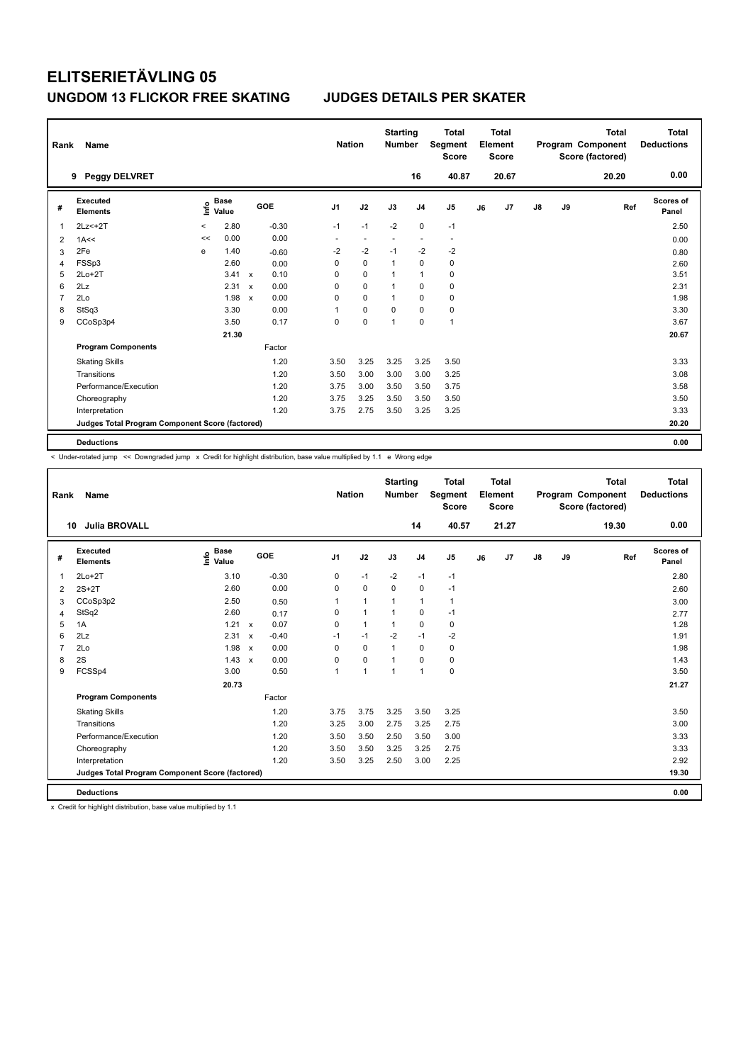| Rank | Name                                            |         |                                  |                           |         |                          | <b>Nation</b>            | <b>Starting</b><br><b>Number</b> |                | Total<br>Segment<br><b>Score</b> |    | <b>Total</b><br>Element<br><b>Score</b> |               |    | <b>Total</b><br>Program Component<br>Score (factored) | Total<br><b>Deductions</b> |
|------|-------------------------------------------------|---------|----------------------------------|---------------------------|---------|--------------------------|--------------------------|----------------------------------|----------------|----------------------------------|----|-----------------------------------------|---------------|----|-------------------------------------------------------|----------------------------|
|      | <b>Peggy DELVRET</b><br>9                       |         |                                  |                           |         |                          |                          |                                  | 16             | 40.87                            |    | 20.67                                   |               |    | 20.20                                                 | 0.00                       |
| #    | Executed<br><b>Elements</b>                     |         | <b>Base</b><br>e Base<br>⊆ Value |                           | GOE     | J <sub>1</sub>           | J2                       | J3                               | J <sub>4</sub> | J5                               | J6 | J7                                      | $\mathsf{J}8$ | J9 | Ref                                                   | <b>Scores of</b><br>Panel  |
| 1    | $2Lz<+2T$                                       | $\,<\,$ | 2.80                             |                           | $-0.30$ | $-1$                     | $-1$                     | $-2$                             | $\mathbf 0$    | $-1$                             |    |                                         |               |    |                                                       | 2.50                       |
| 2    | 1A<<                                            | <<      | 0.00                             |                           | 0.00    | $\overline{\phantom{a}}$ | $\overline{\phantom{a}}$ | ÷,                               | ż.             | $\overline{\phantom{a}}$         |    |                                         |               |    |                                                       | 0.00                       |
| 3    | 2Fe                                             | e       | 1.40                             |                           | $-0.60$ | $-2$                     | $-2$                     | $-1$                             | $-2$           | $-2$                             |    |                                         |               |    |                                                       | 0.80                       |
| 4    | FSSp3                                           |         | 2.60                             |                           | 0.00    | 0                        | $\mathbf 0$              | $\overline{1}$                   | $\mathbf 0$    | $\pmb{0}$                        |    |                                         |               |    |                                                       | 2.60                       |
| 5    | $2Lo+2T$                                        |         | 3.41                             | $\boldsymbol{\mathsf{x}}$ | 0.10    | 0                        | 0                        | 1                                | $\overline{1}$ | $\pmb{0}$                        |    |                                         |               |    |                                                       | 3.51                       |
| 6    | 2Lz                                             |         | 2.31                             | $\boldsymbol{\mathsf{x}}$ | 0.00    | 0                        | $\mathbf 0$              | 1                                | $\mathbf 0$    | $\pmb{0}$                        |    |                                         |               |    |                                                       | 2.31                       |
| 7    | 2Lo                                             |         | 1.98                             | $\mathbf x$               | 0.00    | 0                        | $\mathbf 0$              | $\overline{1}$                   | $\mathbf 0$    | $\pmb{0}$                        |    |                                         |               |    |                                                       | 1.98                       |
| 8    | StSq3                                           |         | 3.30                             |                           | 0.00    | 1                        | 0                        | 0                                | 0              | 0                                |    |                                         |               |    |                                                       | 3.30                       |
| 9    | CCoSp3p4                                        |         | 3.50                             |                           | 0.17    | 0                        | $\mathbf 0$              | 1                                | 0              | $\mathbf{1}$                     |    |                                         |               |    |                                                       | 3.67                       |
|      |                                                 |         | 21.30                            |                           |         |                          |                          |                                  |                |                                  |    |                                         |               |    |                                                       | 20.67                      |
|      | <b>Program Components</b>                       |         |                                  |                           | Factor  |                          |                          |                                  |                |                                  |    |                                         |               |    |                                                       |                            |
|      | <b>Skating Skills</b>                           |         |                                  |                           | 1.20    | 3.50                     | 3.25                     | 3.25                             | 3.25           | 3.50                             |    |                                         |               |    |                                                       | 3.33                       |
|      | Transitions                                     |         |                                  |                           | 1.20    | 3.50                     | 3.00                     | 3.00                             | 3.00           | 3.25                             |    |                                         |               |    |                                                       | 3.08                       |
|      | Performance/Execution                           |         |                                  |                           | 1.20    | 3.75                     | 3.00                     | 3.50                             | 3.50           | 3.75                             |    |                                         |               |    |                                                       | 3.58                       |
|      | Choreography                                    |         |                                  |                           | 1.20    | 3.75                     | 3.25                     | 3.50                             | 3.50           | 3.50                             |    |                                         |               |    |                                                       | 3.50                       |
|      | Interpretation                                  |         |                                  |                           | 1.20    | 3.75                     | 2.75                     | 3.50                             | 3.25           | 3.25                             |    |                                         |               |    |                                                       | 3.33                       |
|      | Judges Total Program Component Score (factored) |         |                                  |                           |         |                          |                          |                                  |                |                                  |    |                                         |               |    |                                                       | 20.20                      |
|      | <b>Deductions</b>                               |         |                                  |                           |         |                          |                          |                                  |                |                                  |    |                                         |               |    |                                                       | 0.00                       |

< Under-rotated jump << Downgraded jump x Credit for highlight distribution, base value multiplied by 1.1 e Wrong edge

| Rank           | <b>Name</b>                                     |                                  |                           |         |                | <b>Nation</b>        | <b>Starting</b><br><b>Number</b> |                | <b>Total</b><br><b>Segment</b><br><b>Score</b> |    | Total<br>Element<br><b>Score</b> |    |    | <b>Total</b><br>Program Component<br>Score (factored) | Total<br><b>Deductions</b> |
|----------------|-------------------------------------------------|----------------------------------|---------------------------|---------|----------------|----------------------|----------------------------------|----------------|------------------------------------------------|----|----------------------------------|----|----|-------------------------------------------------------|----------------------------|
| 10             | <b>Julia BROVALL</b>                            |                                  |                           |         |                |                      |                                  | 14             | 40.57                                          |    | 21.27                            |    |    | 19.30                                                 | 0.00                       |
| #              | Executed<br><b>Elements</b>                     | <b>Base</b><br>e Base<br>⊆ Value |                           | GOE     | J <sub>1</sub> | J2                   | J3                               | J <sub>4</sub> | J <sub>5</sub>                                 | J6 | J7                               | J8 | J9 | Ref                                                   | Scores of<br>Panel         |
| $\mathbf{1}$   | $2Lo+2T$                                        | 3.10                             |                           | $-0.30$ | 0              | $-1$                 | $-2$                             | $-1$           | $-1$                                           |    |                                  |    |    |                                                       | 2.80                       |
| 2              | $2S+2T$                                         | 2.60                             |                           | 0.00    | $\mathbf 0$    | $\mathbf 0$          | $\mathbf 0$                      | $\mathbf 0$    | $-1$                                           |    |                                  |    |    |                                                       | 2.60                       |
| 3              | CCoSp3p2                                        | 2.50                             |                           | 0.50    | 1              | $\mathbf{1}$         | $\mathbf{1}$                     | $\mathbf{1}$   | 1                                              |    |                                  |    |    |                                                       | 3.00                       |
| 4              | StSq2                                           | 2.60                             |                           | 0.17    | $\Omega$       | $\overline{1}$       | $\overline{1}$                   | $\mathbf 0$    | $-1$                                           |    |                                  |    |    |                                                       | 2.77                       |
| 5              | 1A                                              | 1.21                             | $\mathsf{x}$              | 0.07    | 0              | $\mathbf{1}$         | $\mathbf{1}$                     | $\mathbf 0$    | $\mathbf 0$                                    |    |                                  |    |    |                                                       | 1.28                       |
| 6              | 2Lz                                             | 2.31                             | $\boldsymbol{\mathsf{x}}$ | $-0.40$ | $-1$           | $-1$                 | $-2$                             | $-1$           | $-2$                                           |    |                                  |    |    |                                                       | 1.91                       |
| $\overline{7}$ | 2Lo                                             | 1.98                             | $\boldsymbol{\mathsf{x}}$ | 0.00    | $\mathbf 0$    | $\mathbf 0$          | $\mathbf{1}$                     | $\mathbf 0$    | $\mathbf 0$                                    |    |                                  |    |    |                                                       | 1.98                       |
| 8              | 2S                                              | 1.43                             | $\boldsymbol{\mathsf{x}}$ | 0.00    | $\Omega$       | $\mathbf 0$          | $\mathbf{1}$                     | 0              | 0                                              |    |                                  |    |    |                                                       | 1.43                       |
| 9              | FCSSp4                                          | 3.00                             |                           | 0.50    | 1              | $\blacktriangleleft$ | $\mathbf{1}$                     | $\mathbf{1}$   | $\mathbf 0$                                    |    |                                  |    |    |                                                       | 3.50                       |
|                |                                                 | 20.73                            |                           |         |                |                      |                                  |                |                                                |    |                                  |    |    |                                                       | 21.27                      |
|                | <b>Program Components</b>                       |                                  |                           | Factor  |                |                      |                                  |                |                                                |    |                                  |    |    |                                                       |                            |
|                | <b>Skating Skills</b>                           |                                  |                           | 1.20    | 3.75           | 3.75                 | 3.25                             | 3.50           | 3.25                                           |    |                                  |    |    |                                                       | 3.50                       |
|                | Transitions                                     |                                  |                           | 1.20    | 3.25           | 3.00                 | 2.75                             | 3.25           | 2.75                                           |    |                                  |    |    |                                                       | 3.00                       |
|                | Performance/Execution                           |                                  |                           | 1.20    | 3.50           | 3.50                 | 2.50                             | 3.50           | 3.00                                           |    |                                  |    |    |                                                       | 3.33                       |
|                | Choreography                                    |                                  |                           | 1.20    | 3.50           | 3.50                 | 3.25                             | 3.25           | 2.75                                           |    |                                  |    |    |                                                       | 3.33                       |
|                | Interpretation                                  |                                  |                           | 1.20    | 3.50           | 3.25                 | 2.50                             | 3.00           | 2.25                                           |    |                                  |    |    |                                                       | 2.92                       |
|                | Judges Total Program Component Score (factored) |                                  |                           |         |                |                      |                                  |                |                                                |    |                                  |    |    |                                                       | 19.30                      |
|                | <b>Deductions</b>                               |                                  |                           |         |                |                      |                                  |                |                                                |    |                                  |    |    |                                                       | 0.00                       |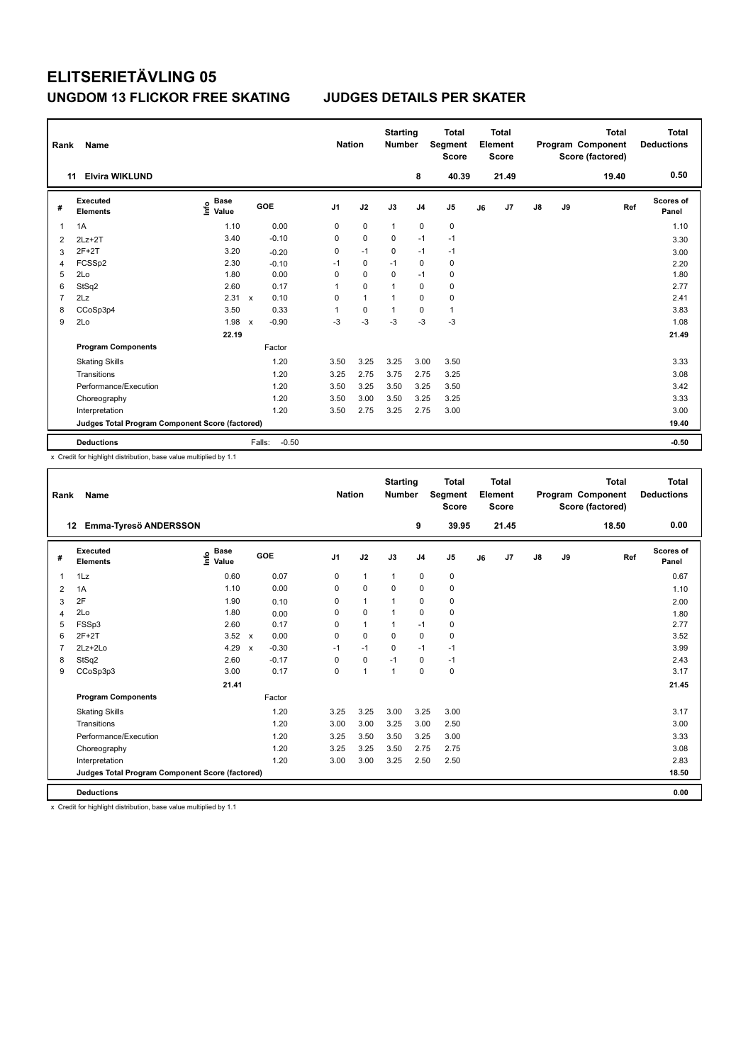| Rank           | Name                                            |                                  |                           |            | <b>Nation</b>  |              | <b>Starting</b><br><b>Number</b> |                | <b>Total</b><br>Segment<br><b>Score</b> |    | Total<br>Element<br><b>Score</b> |               |    | <b>Total</b><br>Program Component<br>Score (factored) | Total<br><b>Deductions</b> |
|----------------|-------------------------------------------------|----------------------------------|---------------------------|------------|----------------|--------------|----------------------------------|----------------|-----------------------------------------|----|----------------------------------|---------------|----|-------------------------------------------------------|----------------------------|
| 11             | <b>Elvira WIKLUND</b>                           |                                  |                           |            |                |              |                                  | 8              | 40.39                                   |    | 21.49                            |               |    | 19.40                                                 | 0.50                       |
| #              | Executed<br><b>Elements</b>                     | <b>Base</b><br>e Base<br>⊆ Value |                           | <b>GOE</b> | J <sub>1</sub> | J2           | J3                               | J <sub>4</sub> | J <sub>5</sub>                          | J6 | J7                               | $\mathsf{J}8$ | J9 | Ref                                                   | Scores of<br>Panel         |
| 1              | 1A                                              | 1.10                             |                           | 0.00       | 0              | $\mathbf 0$  | $\mathbf{1}$                     | $\mathbf 0$    | $\pmb{0}$                               |    |                                  |               |    |                                                       | 1.10                       |
| $\overline{2}$ | $2Lz+2T$                                        | 3.40                             |                           | $-0.10$    | 0              | $\mathbf 0$  | 0                                | $-1$           | $-1$                                    |    |                                  |               |    |                                                       | 3.30                       |
| 3              | $2F+2T$                                         | 3.20                             |                           | $-0.20$    | 0              | $-1$         | 0                                | $-1$           | $-1$                                    |    |                                  |               |    |                                                       | 3.00                       |
| $\overline{4}$ | FCSSp2                                          | 2.30                             |                           | $-0.10$    | $-1$           | 0            | $-1$                             | 0              | $\pmb{0}$                               |    |                                  |               |    |                                                       | 2.20                       |
| 5              | 2Lo                                             | 1.80                             |                           | 0.00       | 0              | $\Omega$     | $\Omega$                         | $-1$           | 0                                       |    |                                  |               |    |                                                       | 1.80                       |
| 6              | StSq2                                           | 2.60                             |                           | 0.17       | 1              | 0            | 1                                | 0              | 0                                       |    |                                  |               |    |                                                       | 2.77                       |
| $\overline{7}$ | 2Lz                                             | 2.31                             | $\mathbf x$               | 0.10       | 0              | $\mathbf{1}$ | 1                                | $\Omega$       | 0                                       |    |                                  |               |    |                                                       | 2.41                       |
| 8              | CCoSp3p4                                        | 3.50                             |                           | 0.33       | 1              | 0            | 1                                | $\Omega$       | $\mathbf{1}$                            |    |                                  |               |    |                                                       | 3.83                       |
| 9              | 2Lo                                             | 1.98                             | $\boldsymbol{\mathsf{x}}$ | $-0.90$    | $-3$           | $-3$         | $-3$                             | $-3$           | $-3$                                    |    |                                  |               |    |                                                       | 1.08                       |
|                |                                                 | 22.19                            |                           |            |                |              |                                  |                |                                         |    |                                  |               |    |                                                       | 21.49                      |
|                | <b>Program Components</b>                       |                                  |                           | Factor     |                |              |                                  |                |                                         |    |                                  |               |    |                                                       |                            |
|                | <b>Skating Skills</b>                           |                                  |                           | 1.20       | 3.50           | 3.25         | 3.25                             | 3.00           | 3.50                                    |    |                                  |               |    |                                                       | 3.33                       |
|                | Transitions                                     |                                  |                           | 1.20       | 3.25           | 2.75         | 3.75                             | 2.75           | 3.25                                    |    |                                  |               |    |                                                       | 3.08                       |
|                | Performance/Execution                           |                                  |                           | 1.20       | 3.50           | 3.25         | 3.50                             | 3.25           | 3.50                                    |    |                                  |               |    |                                                       | 3.42                       |
|                | Choreography                                    |                                  |                           | 1.20       | 3.50           | 3.00         | 3.50                             | 3.25           | 3.25                                    |    |                                  |               |    |                                                       | 3.33                       |
|                | Interpretation                                  |                                  |                           | 1.20       | 3.50           | 2.75         | 3.25                             | 2.75           | 3.00                                    |    |                                  |               |    |                                                       | 3.00                       |
|                | Judges Total Program Component Score (factored) |                                  |                           |            |                |              |                                  |                |                                         |    |                                  |               |    |                                                       | 19.40                      |
|                | <b>Deductions</b>                               |                                  | Falls:                    | $-0.50$    |                |              |                                  |                |                                         |    |                                  |               |    |                                                       | $-0.50$                    |

x Credit for highlight distribution, base value multiplied by 1.1

| Rank           | Name                                            |                                  |                                      | <b>Nation</b>  |              | <b>Starting</b><br><b>Number</b> |                | <b>Total</b><br>Segment<br><b>Score</b> |    | <b>Total</b><br>Element<br><b>Score</b> |    |    | <b>Total</b><br>Program Component<br>Score (factored) | <b>Total</b><br><b>Deductions</b> |
|----------------|-------------------------------------------------|----------------------------------|--------------------------------------|----------------|--------------|----------------------------------|----------------|-----------------------------------------|----|-----------------------------------------|----|----|-------------------------------------------------------|-----------------------------------|
| 12             | Emma-Tyresö ANDERSSON                           |                                  |                                      |                |              |                                  | 9              | 39.95                                   |    | 21.45                                   |    |    | 18.50                                                 | 0.00                              |
| #              | Executed<br><b>Elements</b>                     | <b>Base</b><br>e Base<br>E Value | GOE                                  | J <sub>1</sub> | J2           | J3                               | J <sub>4</sub> | J <sub>5</sub>                          | J6 | J <sub>7</sub>                          | J8 | J9 | Ref                                                   | <b>Scores of</b><br>Panel         |
| $\mathbf{1}$   | 1Lz                                             | 0.60                             | 0.07                                 | 0              | $\mathbf{1}$ | $\mathbf{1}$                     | $\mathbf 0$    | 0                                       |    |                                         |    |    |                                                       | 0.67                              |
| 2              | 1A                                              | 1.10                             | 0.00                                 | 0              | $\mathbf 0$  | $\mathbf 0$                      | $\mathbf 0$    | 0                                       |    |                                         |    |    |                                                       | 1.10                              |
| 3              | 2F                                              | 1.90                             | 0.10                                 | 0              | $\mathbf{1}$ | $\mathbf{1}$                     | 0              | 0                                       |    |                                         |    |    |                                                       | 2.00                              |
| $\overline{4}$ | 2Lo                                             | 1.80                             | 0.00                                 | $\Omega$       | $\Omega$     | 1                                | $\Omega$       | 0                                       |    |                                         |    |    |                                                       | 1.80                              |
| 5              | FSSp3                                           | 2.60                             | 0.17                                 | $\Omega$       | $\mathbf{1}$ | 1                                | $-1$           | 0                                       |    |                                         |    |    |                                                       | 2.77                              |
| 6              | $2F+2T$                                         | $3.52 \times$                    | 0.00                                 | $\Omega$       | $\mathbf 0$  | $\Omega$                         | $\Omega$       | 0                                       |    |                                         |    |    |                                                       | 3.52                              |
| $\overline{7}$ | $2Lz+2Lo$                                       | 4.29                             | $-0.30$<br>$\boldsymbol{\mathsf{x}}$ | $-1$           | $-1$         | $\Omega$                         | $-1$           | $-1$                                    |    |                                         |    |    |                                                       | 3.99                              |
| 8              | StSq2                                           | 2.60                             | $-0.17$                              | 0              | $\mathbf 0$  | $-1$                             | $\mathbf 0$    | $-1$                                    |    |                                         |    |    |                                                       | 2.43                              |
| 9              | CCoSp3p3                                        | 3.00                             | 0.17                                 | $\Omega$       | $\mathbf{1}$ | $\mathbf{1}$                     | $\Omega$       | 0                                       |    |                                         |    |    |                                                       | 3.17                              |
|                |                                                 | 21.41                            |                                      |                |              |                                  |                |                                         |    |                                         |    |    |                                                       | 21.45                             |
|                | <b>Program Components</b>                       |                                  | Factor                               |                |              |                                  |                |                                         |    |                                         |    |    |                                                       |                                   |
|                | <b>Skating Skills</b>                           |                                  | 1.20                                 | 3.25           | 3.25         | 3.00                             | 3.25           | 3.00                                    |    |                                         |    |    |                                                       | 3.17                              |
|                | Transitions                                     |                                  | 1.20                                 | 3.00           | 3.00         | 3.25                             | 3.00           | 2.50                                    |    |                                         |    |    |                                                       | 3.00                              |
|                | Performance/Execution                           |                                  | 1.20                                 | 3.25           | 3.50         | 3.50                             | 3.25           | 3.00                                    |    |                                         |    |    |                                                       | 3.33                              |
|                | Choreography                                    |                                  | 1.20                                 | 3.25           | 3.25         | 3.50                             | 2.75           | 2.75                                    |    |                                         |    |    |                                                       | 3.08                              |
|                | Interpretation                                  |                                  | 1.20                                 | 3.00           | 3.00         | 3.25                             | 2.50           | 2.50                                    |    |                                         |    |    |                                                       | 2.83                              |
|                | Judges Total Program Component Score (factored) |                                  |                                      |                |              |                                  |                |                                         |    |                                         |    |    |                                                       | 18.50                             |
|                | <b>Deductions</b>                               | .                                |                                      |                |              |                                  |                |                                         |    |                                         |    |    |                                                       | 0.00                              |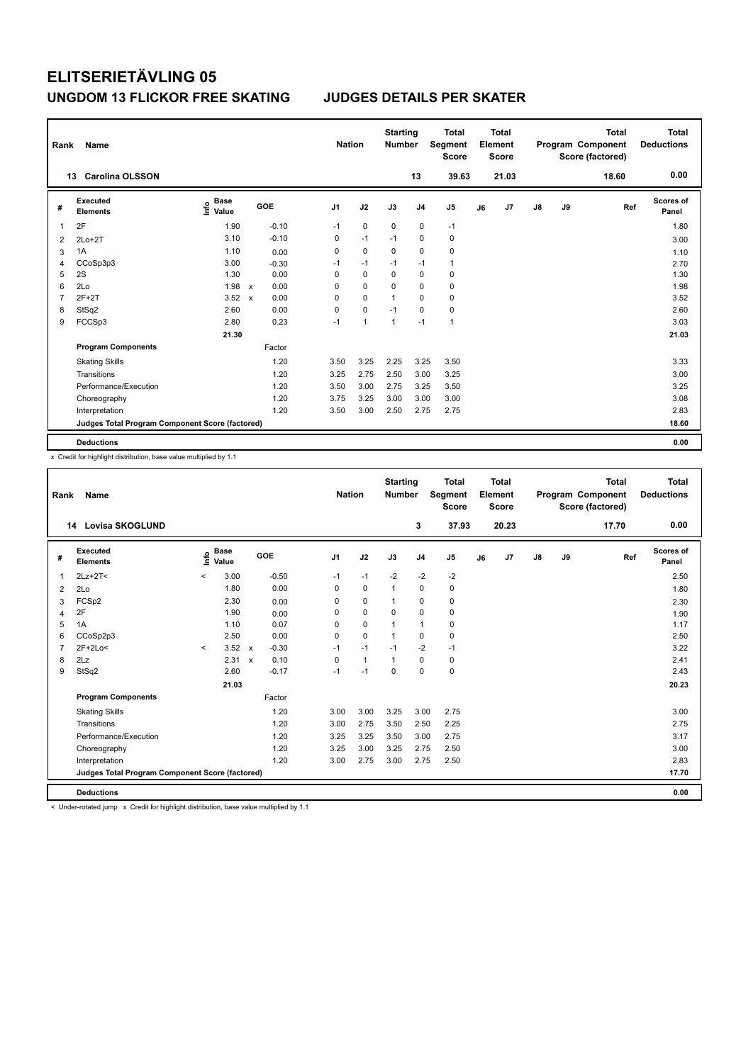| Rank | Name                                            |                                  |              |         |                | <b>Nation</b>  | <b>Starting</b><br><b>Number</b> |                | Total<br>Segment<br><b>Score</b> |    | <b>Total</b><br>Element<br><b>Score</b> |               |    | <b>Total</b><br>Program Component<br>Score (factored) | Total<br><b>Deductions</b> |
|------|-------------------------------------------------|----------------------------------|--------------|---------|----------------|----------------|----------------------------------|----------------|----------------------------------|----|-----------------------------------------|---------------|----|-------------------------------------------------------|----------------------------|
|      | <b>Carolina OLSSON</b><br>13                    |                                  |              |         |                |                |                                  | 13             | 39.63                            |    | 21.03                                   |               |    | 18.60                                                 | 0.00                       |
| #    | Executed<br><b>Elements</b>                     | <b>Base</b><br>e Base<br>⊆ Value |              | GOE     | J <sub>1</sub> | J2             | J3                               | J <sub>4</sub> | J5                               | J6 | J7                                      | $\mathsf{J}8$ | J9 | Ref                                                   | <b>Scores of</b><br>Panel  |
| 1    | 2F                                              | 1.90                             |              | $-0.10$ | $-1$           | $\mathbf 0$    | $\mathbf 0$                      | $\pmb{0}$      | $-1$                             |    |                                         |               |    |                                                       | 1.80                       |
| 2    | $2Lo+2T$                                        | 3.10                             |              | $-0.10$ | 0              | $-1$           | $-1$                             | 0              | $\mathbf 0$                      |    |                                         |               |    |                                                       | 3.00                       |
| 3    | 1A                                              | 1.10                             |              | 0.00    | 0              | $\mathbf 0$    | 0                                | $\mathbf 0$    | $\pmb{0}$                        |    |                                         |               |    |                                                       | 1.10                       |
| 4    | CCoSp3p3                                        | 3.00                             |              | $-0.30$ | $-1$           | $-1$           | $-1$                             | $-1$           | $\mathbf{1}$                     |    |                                         |               |    |                                                       | 2.70                       |
| 5    | 2S                                              | 1.30                             |              | 0.00    | 0              | 0              | 0                                | 0              | 0                                |    |                                         |               |    |                                                       | 1.30                       |
| 6    | 2Lo                                             | 1.98                             | $\mathsf{x}$ | 0.00    | 0              | $\mathbf 0$    | 0                                | $\mathbf 0$    | $\pmb{0}$                        |    |                                         |               |    |                                                       | 1.98                       |
| 7    | $2F+2T$                                         | 3.52                             | $\mathbf{x}$ | 0.00    | 0              | $\mathbf 0$    | $\overline{1}$                   | $\mathbf 0$    | 0                                |    |                                         |               |    |                                                       | 3.52                       |
| 8    | StSq2                                           | 2.60                             |              | 0.00    | 0              | $\mathbf 0$    | $-1$                             | 0              | 0                                |    |                                         |               |    |                                                       | 2.60                       |
| 9    | FCCSp3                                          | 2.80                             |              | 0.23    | $-1$           | $\overline{1}$ | 1                                | $-1$           | $\mathbf{1}$                     |    |                                         |               |    |                                                       | 3.03                       |
|      |                                                 | 21.30                            |              |         |                |                |                                  |                |                                  |    |                                         |               |    |                                                       | 21.03                      |
|      | <b>Program Components</b>                       |                                  |              | Factor  |                |                |                                  |                |                                  |    |                                         |               |    |                                                       |                            |
|      | <b>Skating Skills</b>                           |                                  |              | 1.20    | 3.50           | 3.25           | 2.25                             | 3.25           | 3.50                             |    |                                         |               |    |                                                       | 3.33                       |
|      | Transitions                                     |                                  |              | 1.20    | 3.25           | 2.75           | 2.50                             | 3.00           | 3.25                             |    |                                         |               |    |                                                       | 3.00                       |
|      | Performance/Execution                           |                                  |              | 1.20    | 3.50           | 3.00           | 2.75                             | 3.25           | 3.50                             |    |                                         |               |    |                                                       | 3.25                       |
|      | Choreography                                    |                                  |              | 1.20    | 3.75           | 3.25           | 3.00                             | 3.00           | 3.00                             |    |                                         |               |    |                                                       | 3.08                       |
|      | Interpretation                                  |                                  |              | 1.20    | 3.50           | 3.00           | 2.50                             | 2.75           | 2.75                             |    |                                         |               |    |                                                       | 2.83                       |
|      | Judges Total Program Component Score (factored) |                                  |              |         |                |                |                                  |                |                                  |    |                                         |               |    |                                                       | 18.60                      |
|      | <b>Deductions</b>                               |                                  |              |         |                |                |                                  |                |                                  |    |                                         |               |    |                                                       | 0.00                       |

x Credit for highlight distribution, base value multiplied by 1.1

| Rank           | Name                                            |         |                      |              |         |                | <b>Nation</b> | <b>Starting</b><br><b>Number</b> |                | <b>Total</b><br><b>Segment</b><br><b>Score</b> |    | <b>Total</b><br>Element<br><b>Score</b> |               |    | <b>Total</b><br>Program Component<br>Score (factored) | <b>Total</b><br><b>Deductions</b> |
|----------------|-------------------------------------------------|---------|----------------------|--------------|---------|----------------|---------------|----------------------------------|----------------|------------------------------------------------|----|-----------------------------------------|---------------|----|-------------------------------------------------------|-----------------------------------|
|                | <b>Lovisa SKOGLUND</b><br>14                    |         |                      |              |         |                |               |                                  | 3              | 37.93                                          |    | 20.23                                   |               |    | 17.70                                                 | 0.00                              |
| #              | Executed<br><b>Elements</b>                     | ۴       | <b>Base</b><br>Value |              | GOE     | J <sub>1</sub> | J2            | J3                               | J <sub>4</sub> | J <sub>5</sub>                                 | J6 | J7                                      | $\mathsf{J}8$ | J9 | Ref                                                   | Scores of<br>Panel                |
| 1              | $2Lz+2T<$                                       | $\,<\,$ | 3.00                 |              | $-0.50$ | $-1$           | $-1$          | $-2$                             | $-2$           | $-2$                                           |    |                                         |               |    |                                                       | 2.50                              |
| $\overline{2}$ | 2Lo                                             |         | 1.80                 |              | 0.00    | 0              | $\mathbf 0$   | $\mathbf{1}$                     | $\mathbf 0$    | $\mathbf 0$                                    |    |                                         |               |    |                                                       | 1.80                              |
| 3              | FCSp2                                           |         | 2.30                 |              | 0.00    | 0              | $\mathbf 0$   | $\mathbf{1}$                     | $\mathbf 0$    | $\pmb{0}$                                      |    |                                         |               |    |                                                       | 2.30                              |
| 4              | 2F                                              |         | 1.90                 |              | 0.00    | 0              | $\mathbf 0$   | 0                                | $\mathbf 0$    | $\mathbf 0$                                    |    |                                         |               |    |                                                       | 1.90                              |
| 5              | 1A                                              |         | 1.10                 |              | 0.07    | 0              | $\mathbf 0$   | $\overline{1}$                   | $\mathbf{1}$   | 0                                              |    |                                         |               |    |                                                       | 1.17                              |
| 6              | CCoSp2p3                                        |         | 2.50                 |              | 0.00    | $\Omega$       | $\mathbf 0$   | $\mathbf{1}$                     | $\mathbf 0$    | 0                                              |    |                                         |               |    |                                                       | 2.50                              |
| 7              | 2F+2Lo<                                         | $\prec$ | 3.52                 | $\mathsf{x}$ | $-0.30$ | $-1$           | $-1$          | $-1$                             | $-2$           | $-1$                                           |    |                                         |               |    |                                                       | 3.22                              |
| 8              | 2Lz                                             |         | 2.31                 | $\mathbf x$  | 0.10    | $\Omega$       | $\mathbf{1}$  | $\overline{1}$                   | $\mathbf 0$    | $\pmb{0}$                                      |    |                                         |               |    |                                                       | 2.41                              |
| 9              | StSq2                                           |         | 2.60                 |              | $-0.17$ | $-1$           | $-1$          | $\mathbf 0$                      | $\mathbf 0$    | $\pmb{0}$                                      |    |                                         |               |    |                                                       | 2.43                              |
|                |                                                 |         | 21.03                |              |         |                |               |                                  |                |                                                |    |                                         |               |    |                                                       | 20.23                             |
|                | <b>Program Components</b>                       |         |                      |              | Factor  |                |               |                                  |                |                                                |    |                                         |               |    |                                                       |                                   |
|                | <b>Skating Skills</b>                           |         |                      |              | 1.20    | 3.00           | 3.00          | 3.25                             | 3.00           | 2.75                                           |    |                                         |               |    |                                                       | 3.00                              |
|                | Transitions                                     |         |                      |              | 1.20    | 3.00           | 2.75          | 3.50                             | 2.50           | 2.25                                           |    |                                         |               |    |                                                       | 2.75                              |
|                | Performance/Execution                           |         |                      |              | 1.20    | 3.25           | 3.25          | 3.50                             | 3.00           | 2.75                                           |    |                                         |               |    |                                                       | 3.17                              |
|                | Choreography                                    |         |                      |              | 1.20    | 3.25           | 3.00          | 3.25                             | 2.75           | 2.50                                           |    |                                         |               |    |                                                       | 3.00                              |
|                | Interpretation                                  |         |                      |              | 1.20    | 3.00           | 2.75          | 3.00                             | 2.75           | 2.50                                           |    |                                         |               |    |                                                       | 2.83                              |
|                | Judges Total Program Component Score (factored) |         |                      |              |         |                |               |                                  |                |                                                |    |                                         |               |    |                                                       | 17.70                             |
|                | <b>Deductions</b>                               |         |                      |              |         |                |               |                                  |                |                                                |    |                                         |               |    |                                                       | 0.00                              |

< Under-rotated jump x Credit for highlight distribution, base value multiplied by 1.1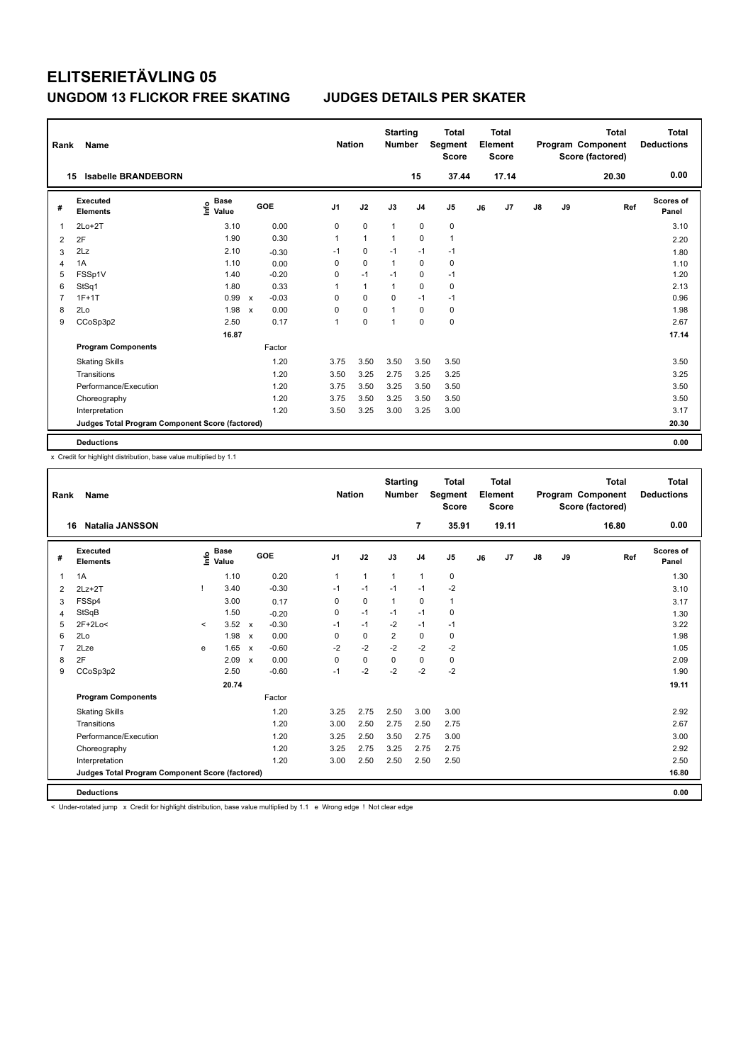| Rank | Name                                            |                                  |                           |         |                | <b>Nation</b> | <b>Starting</b><br><b>Number</b> |                | <b>Total</b><br>Segment<br><b>Score</b> |    | <b>Total</b><br>Element<br><b>Score</b> |               |    | <b>Total</b><br>Program Component<br>Score (factored) | <b>Total</b><br><b>Deductions</b> |
|------|-------------------------------------------------|----------------------------------|---------------------------|---------|----------------|---------------|----------------------------------|----------------|-----------------------------------------|----|-----------------------------------------|---------------|----|-------------------------------------------------------|-----------------------------------|
|      | <b>Isabelle BRANDEBORN</b><br>15                |                                  |                           |         |                |               |                                  | 15             | 37.44                                   |    | 17.14                                   |               |    | 20.30                                                 | 0.00                              |
| #    | Executed<br><b>Elements</b>                     | <b>Base</b><br>e Base<br>⊆ Value |                           | GOE     | J <sub>1</sub> | J2            | J3                               | J <sub>4</sub> | J <sub>5</sub>                          | J6 | J7                                      | $\mathsf{J}8$ | J9 | Ref                                                   | <b>Scores of</b><br>Panel         |
| 1    | $2Lo+2T$                                        | 3.10                             |                           | 0.00    | 0              | 0             | $\overline{1}$                   | 0              | 0                                       |    |                                         |               |    |                                                       | 3.10                              |
| 2    | 2F                                              | 1.90                             |                           | 0.30    | 1              | $\mathbf{1}$  | $\overline{1}$                   | $\mathbf 0$    | $\mathbf{1}$                            |    |                                         |               |    |                                                       | 2.20                              |
| 3    | 2Lz                                             | 2.10                             |                           | $-0.30$ | $-1$           | $\pmb{0}$     | $-1$                             | $-1$           | $-1$                                    |    |                                         |               |    |                                                       | 1.80                              |
| 4    | 1A                                              | 1.10                             |                           | 0.00    | 0              | $\mathbf 0$   | $\mathbf{1}$                     | $\mathbf 0$    | $\pmb{0}$                               |    |                                         |               |    |                                                       | 1.10                              |
| 5    | FSSp1V                                          | 1.40                             |                           | $-0.20$ | 0              | $-1$          | $-1$                             | 0              | $-1$                                    |    |                                         |               |    |                                                       | 1.20                              |
| 6    | StSq1                                           | 1.80                             |                           | 0.33    | 1              | $\mathbf{1}$  | $\overline{1}$                   | $\pmb{0}$      | $\pmb{0}$                               |    |                                         |               |    |                                                       | 2.13                              |
| 7    | $1F+1T$                                         | 0.99                             | $\mathsf{x}$              | $-0.03$ | 0              | 0             | 0                                | $-1$           | $-1$                                    |    |                                         |               |    |                                                       | 0.96                              |
| 8    | 2Lo                                             | 1.98                             | $\boldsymbol{\mathsf{x}}$ | 0.00    | 0              | $\mathbf 0$   | 1                                | 0              | 0                                       |    |                                         |               |    |                                                       | 1.98                              |
| 9    | CCoSp3p2                                        | 2.50                             |                           | 0.17    | 1              | 0             | 1                                | $\mathbf 0$    | $\pmb{0}$                               |    |                                         |               |    |                                                       | 2.67                              |
|      |                                                 | 16.87                            |                           |         |                |               |                                  |                |                                         |    |                                         |               |    |                                                       | 17.14                             |
|      | <b>Program Components</b>                       |                                  |                           | Factor  |                |               |                                  |                |                                         |    |                                         |               |    |                                                       |                                   |
|      | <b>Skating Skills</b>                           |                                  |                           | 1.20    | 3.75           | 3.50          | 3.50                             | 3.50           | 3.50                                    |    |                                         |               |    |                                                       | 3.50                              |
|      | Transitions                                     |                                  |                           | 1.20    | 3.50           | 3.25          | 2.75                             | 3.25           | 3.25                                    |    |                                         |               |    |                                                       | 3.25                              |
|      | Performance/Execution                           |                                  |                           | 1.20    | 3.75           | 3.50          | 3.25                             | 3.50           | 3.50                                    |    |                                         |               |    |                                                       | 3.50                              |
|      | Choreography                                    |                                  |                           | 1.20    | 3.75           | 3.50          | 3.25                             | 3.50           | 3.50                                    |    |                                         |               |    |                                                       | 3.50                              |
|      | Interpretation                                  |                                  |                           | 1.20    | 3.50           | 3.25          | 3.00                             | 3.25           | 3.00                                    |    |                                         |               |    |                                                       | 3.17                              |
|      | Judges Total Program Component Score (factored) |                                  |                           |         |                |               |                                  |                |                                         |    |                                         |               |    |                                                       | 20.30                             |
|      | <b>Deductions</b>                               |                                  |                           |         |                |               |                                  |                |                                         |    |                                         |               |    |                                                       | 0.00                              |

x Credit for highlight distribution, base value multiplied by 1.1

| Rank           | Name                                            |         |                                  |                           |         |                | <b>Nation</b> | <b>Starting</b><br><b>Number</b> |                | <b>Total</b><br>Segment<br><b>Score</b> |    | <b>Total</b><br>Element<br><b>Score</b> |               |    | <b>Total</b><br>Program Component<br>Score (factored) | <b>Total</b><br><b>Deductions</b> |
|----------------|-------------------------------------------------|---------|----------------------------------|---------------------------|---------|----------------|---------------|----------------------------------|----------------|-----------------------------------------|----|-----------------------------------------|---------------|----|-------------------------------------------------------|-----------------------------------|
| 16             | <b>Natalia JANSSON</b>                          |         |                                  |                           |         |                |               |                                  | $\overline{7}$ | 35.91                                   |    | 19.11                                   |               |    | 16.80                                                 | 0.00                              |
| #              | Executed<br><b>Elements</b>                     |         | <b>Base</b><br>e Base<br>⊆ Value |                           | GOE     | J <sub>1</sub> | J2            | J3                               | J <sub>4</sub> | J <sub>5</sub>                          | J6 | J7                                      | $\mathsf{J}8$ | J9 | Ref                                                   | Scores of<br>Panel                |
| $\overline{1}$ | 1A                                              |         | 1.10                             |                           | 0.20    | $\mathbf{1}$   | $\mathbf{1}$  | $\mathbf{1}$                     | $\mathbf{1}$   | 0                                       |    |                                         |               |    |                                                       | 1.30                              |
| 2              | $2Lz+2T$                                        |         | 3.40                             |                           | $-0.30$ | $-1$           | $-1$          | $-1$                             | $-1$           | $-2$                                    |    |                                         |               |    |                                                       | 3.10                              |
| 3              | FSSp4                                           |         | 3.00                             |                           | 0.17    | 0              | $\pmb{0}$     | $\mathbf{1}$                     | $\pmb{0}$      | 1                                       |    |                                         |               |    |                                                       | 3.17                              |
| $\overline{4}$ | StSqB                                           |         | 1.50                             |                           | $-0.20$ | 0              | $-1$          | $-1$                             | $-1$           | $\mathbf 0$                             |    |                                         |               |    |                                                       | 1.30                              |
| 5              | $2F+2Lo<$                                       | $\prec$ | 3.52                             | $\mathsf{x}$              | $-0.30$ | $-1$           | $-1$          | $-2$                             | $-1$           | $-1$                                    |    |                                         |               |    |                                                       | 3.22                              |
| 6              | 2Lo                                             |         | 1.98                             | $\boldsymbol{\mathsf{x}}$ | 0.00    | $\Omega$       | $\mathbf 0$   | $\overline{2}$                   | $\mathbf 0$    | 0                                       |    |                                         |               |    |                                                       | 1.98                              |
| $\overline{7}$ | 2Lze                                            | e       | 1.65                             | $\boldsymbol{\mathsf{x}}$ | $-0.60$ | $-2$           | $-2$          | $-2$                             | $-2$           | $-2$                                    |    |                                         |               |    |                                                       | 1.05                              |
| 8              | 2F                                              |         | 2.09                             | $\mathbf{x}$              | 0.00    | $\Omega$       | $\mathbf 0$   | $\mathbf 0$                      | $\mathbf 0$    | $\pmb{0}$                               |    |                                         |               |    |                                                       | 2.09                              |
| 9              | CCoSp3p2                                        |         | 2.50                             |                           | $-0.60$ | $-1$           | $-2$          | $-2$                             | $-2$           | $-2$                                    |    |                                         |               |    |                                                       | 1.90                              |
|                |                                                 |         | 20.74                            |                           |         |                |               |                                  |                |                                         |    |                                         |               |    |                                                       | 19.11                             |
|                | <b>Program Components</b>                       |         |                                  |                           | Factor  |                |               |                                  |                |                                         |    |                                         |               |    |                                                       |                                   |
|                | <b>Skating Skills</b>                           |         |                                  |                           | 1.20    | 3.25           | 2.75          | 2.50                             | 3.00           | 3.00                                    |    |                                         |               |    |                                                       | 2.92                              |
|                | Transitions                                     |         |                                  |                           | 1.20    | 3.00           | 2.50          | 2.75                             | 2.50           | 2.75                                    |    |                                         |               |    |                                                       | 2.67                              |
|                | Performance/Execution                           |         |                                  |                           | 1.20    | 3.25           | 2.50          | 3.50                             | 2.75           | 3.00                                    |    |                                         |               |    |                                                       | 3.00                              |
|                | Choreography                                    |         |                                  |                           | 1.20    | 3.25           | 2.75          | 3.25                             | 2.75           | 2.75                                    |    |                                         |               |    |                                                       | 2.92                              |
|                | Interpretation                                  |         |                                  |                           | 1.20    | 3.00           | 2.50          | 2.50                             | 2.50           | 2.50                                    |    |                                         |               |    |                                                       | 2.50                              |
|                | Judges Total Program Component Score (factored) |         |                                  |                           |         |                |               |                                  |                |                                         |    |                                         |               |    |                                                       | 16.80                             |
|                | <b>Deductions</b>                               |         |                                  |                           |         |                |               |                                  |                |                                         |    |                                         |               |    |                                                       | 0.00                              |

< Under-rotated jump x Credit for highlight distribution, base value multiplied by 1.1 e Wrong edge ! Not clear edge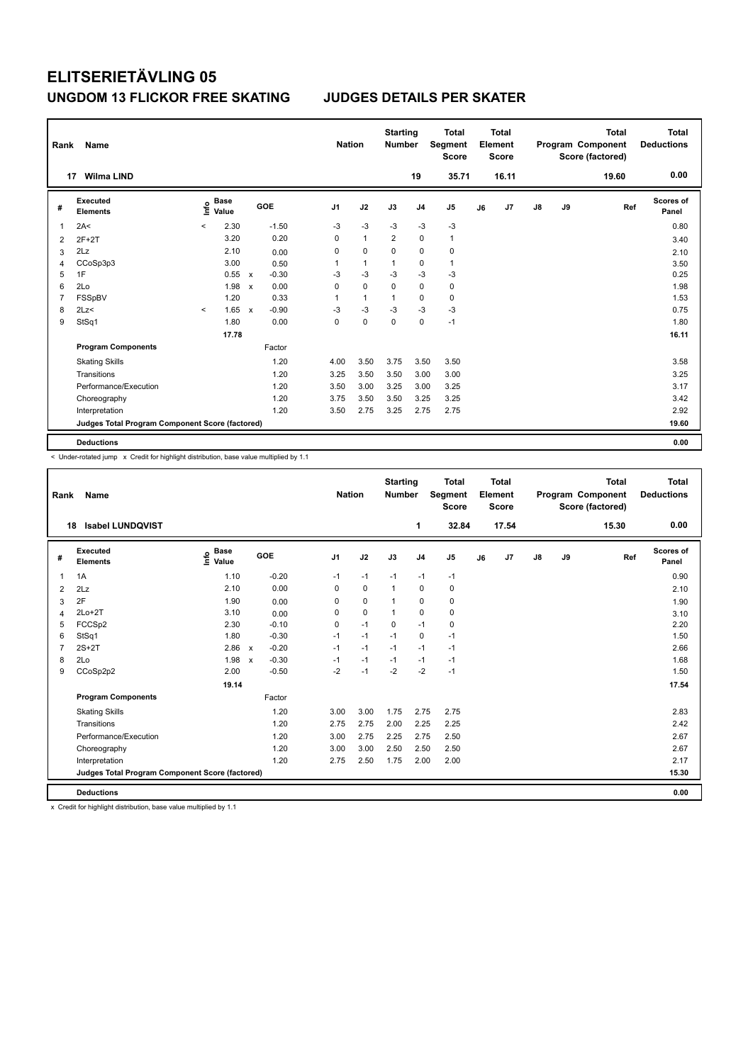| Rank           | Name                                            |         |                      |                           |         | <b>Nation</b>  |                | <b>Starting</b><br><b>Number</b> |                | <b>Total</b><br>Segment<br><b>Score</b> |    | <b>Total</b><br>Element<br><b>Score</b> |               |    | <b>Total</b><br>Program Component<br>Score (factored) | <b>Total</b><br><b>Deductions</b> |
|----------------|-------------------------------------------------|---------|----------------------|---------------------------|---------|----------------|----------------|----------------------------------|----------------|-----------------------------------------|----|-----------------------------------------|---------------|----|-------------------------------------------------------|-----------------------------------|
| 17             | <b>Wilma LIND</b>                               |         |                      |                           |         |                |                |                                  | 19             | 35.71                                   |    | 16.11                                   |               |    | 19.60                                                 | 0.00                              |
| #              | Executed<br><b>Elements</b>                     | ١nf٥    | <b>Base</b><br>Value |                           | GOE     | J <sub>1</sub> | J2             | J3                               | J <sub>4</sub> | J5                                      | J6 | J7                                      | $\mathsf{J}8$ | J9 | Ref                                                   | Scores of<br>Panel                |
| 1              | 2A<                                             | $\prec$ | 2.30                 |                           | $-1.50$ | $-3$           | $-3$           | $-3$                             | $-3$           | $-3$                                    |    |                                         |               |    |                                                       | 0.80                              |
| 2              | $2F+2T$                                         |         | 3.20                 |                           | 0.20    | 0              | $\overline{1}$ | $\overline{2}$                   | $\mathbf 0$    | $\mathbf{1}$                            |    |                                         |               |    |                                                       | 3.40                              |
| 3              | 2Lz                                             |         | 2.10                 |                           | 0.00    | 0              | $\mathbf 0$    | 0                                | $\mathbf 0$    | 0                                       |    |                                         |               |    |                                                       | 2.10                              |
| 4              | CCoSp3p3                                        |         | 3.00                 |                           | 0.50    | 1              | $\mathbf{1}$   | $\overline{1}$                   | $\mathbf 0$    | $\mathbf{1}$                            |    |                                         |               |    |                                                       | 3.50                              |
| 5              | 1F                                              |         | 0.55                 | $\mathsf{x}$              | $-0.30$ | -3             | $-3$           | $-3$                             | $-3$           | -3                                      |    |                                         |               |    |                                                       | 0.25                              |
| 6              | 2Lo                                             |         | 1.98                 | $\boldsymbol{\mathsf{x}}$ | 0.00    | 0              | $\mathbf 0$    | $\mathbf 0$                      | $\mathbf 0$    | $\pmb{0}$                               |    |                                         |               |    |                                                       | 1.98                              |
| $\overline{7}$ | FSSpBV                                          |         | 1.20                 |                           | 0.33    | 1              | $\mathbf{1}$   | $\overline{1}$                   | $\mathbf 0$    | $\pmb{0}$                               |    |                                         |               |    |                                                       | 1.53                              |
| 8              | 2Lz                                             | $\prec$ | 1.65                 | $\mathsf{x}$              | $-0.90$ | $-3$           | $-3$           | $-3$                             | $-3$           | $-3$                                    |    |                                         |               |    |                                                       | 0.75                              |
| 9              | StSq1                                           |         | 1.80                 |                           | 0.00    | 0              | $\mathbf 0$    | $\mathbf 0$                      | $\mathbf 0$    | $-1$                                    |    |                                         |               |    |                                                       | 1.80                              |
|                |                                                 |         | 17.78                |                           |         |                |                |                                  |                |                                         |    |                                         |               |    |                                                       | 16.11                             |
|                | <b>Program Components</b>                       |         |                      |                           | Factor  |                |                |                                  |                |                                         |    |                                         |               |    |                                                       |                                   |
|                | <b>Skating Skills</b>                           |         |                      |                           | 1.20    | 4.00           | 3.50           | 3.75                             | 3.50           | 3.50                                    |    |                                         |               |    |                                                       | 3.58                              |
|                | Transitions                                     |         |                      |                           | 1.20    | 3.25           | 3.50           | 3.50                             | 3.00           | 3.00                                    |    |                                         |               |    |                                                       | 3.25                              |
|                | Performance/Execution                           |         |                      |                           | 1.20    | 3.50           | 3.00           | 3.25                             | 3.00           | 3.25                                    |    |                                         |               |    |                                                       | 3.17                              |
|                | Choreography                                    |         |                      |                           | 1.20    | 3.75           | 3.50           | 3.50                             | 3.25           | 3.25                                    |    |                                         |               |    |                                                       | 3.42                              |
|                | Interpretation                                  |         |                      |                           | 1.20    | 3.50           | 2.75           | 3.25                             | 2.75           | 2.75                                    |    |                                         |               |    |                                                       | 2.92                              |
|                | Judges Total Program Component Score (factored) |         |                      |                           |         |                |                |                                  |                |                                         |    |                                         |               |    |                                                       | 19.60                             |
|                | <b>Deductions</b>                               |         |                      |                           |         |                |                |                                  |                |                                         |    |                                         |               |    |                                                       | 0.00                              |

-<br>< Under-rotated jump x Credit for highlight distribution, base value multiplied by 1.1

| Rank           | Name                                            |                                  |                                      | <b>Nation</b>  |             | <b>Starting</b><br><b>Number</b> |                | <b>Total</b><br>Segment<br><b>Score</b> |    | <b>Total</b><br>Element<br><b>Score</b> |    |    | <b>Total</b><br>Program Component<br>Score (factored) | <b>Total</b><br><b>Deductions</b> |
|----------------|-------------------------------------------------|----------------------------------|--------------------------------------|----------------|-------------|----------------------------------|----------------|-----------------------------------------|----|-----------------------------------------|----|----|-------------------------------------------------------|-----------------------------------|
|                | <b>Isabel LUNDQVIST</b><br>18                   |                                  |                                      |                |             |                                  | 1              | 32.84                                   |    | 17.54                                   |    |    | 15.30                                                 | 0.00                              |
| #              | Executed<br><b>Elements</b>                     | <b>Base</b><br>e Base<br>E Value | GOE                                  | J <sub>1</sub> | J2          | J3                               | J <sub>4</sub> | J <sub>5</sub>                          | J6 | J7                                      | J8 | J9 | Ref                                                   | <b>Scores of</b><br>Panel         |
| $\mathbf{1}$   | 1A                                              | 1.10                             | $-0.20$                              | $-1$           | $-1$        | $-1$                             | $-1$           | $-1$                                    |    |                                         |    |    |                                                       | 0.90                              |
| 2              | 2Lz                                             | 2.10                             | 0.00                                 | $\Omega$       | $\mathbf 0$ | $\mathbf{1}$                     | $\Omega$       | 0                                       |    |                                         |    |    |                                                       | 2.10                              |
| 3              | 2F                                              | 1.90                             | 0.00                                 | 0              | $\mathbf 0$ | 1                                | $\mathbf 0$    | 0                                       |    |                                         |    |    |                                                       | 1.90                              |
| $\overline{4}$ | $2Lo+2T$                                        | 3.10                             | 0.00                                 | 0              | $\mathbf 0$ | $\mathbf{1}$                     | $\mathbf 0$    | 0                                       |    |                                         |    |    |                                                       | 3.10                              |
| 5              | FCCSp2                                          | 2.30                             | $-0.10$                              | 0              | $-1$        | 0                                | $-1$           | 0                                       |    |                                         |    |    |                                                       | 2.20                              |
| 6              | StSq1                                           | 1.80                             | $-0.30$                              | $-1$           | $-1$        | $-1$                             | $\Omega$       | $-1$                                    |    |                                         |    |    |                                                       | 1.50                              |
| $\overline{7}$ | $2S+2T$                                         | 2.86                             | $-0.20$<br>$\mathsf{x}$              | $-1$           | $-1$        | $-1$                             | $-1$           | $-1$                                    |    |                                         |    |    |                                                       | 2.66                              |
| 8              | 2Lo                                             | 1.98                             | $-0.30$<br>$\boldsymbol{\mathsf{x}}$ | $-1$           | $-1$        | $-1$                             | $-1$           | $-1$                                    |    |                                         |    |    |                                                       | 1.68                              |
| 9              | CCoSp2p2                                        | 2.00                             | $-0.50$                              | $-2$           | $-1$        | $-2$                             | $-2$           | $-1$                                    |    |                                         |    |    |                                                       | 1.50                              |
|                |                                                 | 19.14                            |                                      |                |             |                                  |                |                                         |    |                                         |    |    |                                                       | 17.54                             |
|                | <b>Program Components</b>                       |                                  | Factor                               |                |             |                                  |                |                                         |    |                                         |    |    |                                                       |                                   |
|                | <b>Skating Skills</b>                           |                                  | 1.20                                 | 3.00           | 3.00        | 1.75                             | 2.75           | 2.75                                    |    |                                         |    |    |                                                       | 2.83                              |
|                | Transitions                                     |                                  | 1.20                                 | 2.75           | 2.75        | 2.00                             | 2.25           | 2.25                                    |    |                                         |    |    |                                                       | 2.42                              |
|                | Performance/Execution                           |                                  | 1.20                                 | 3.00           | 2.75        | 2.25                             | 2.75           | 2.50                                    |    |                                         |    |    |                                                       | 2.67                              |
|                | Choreography                                    |                                  | 1.20                                 | 3.00           | 3.00        | 2.50                             | 2.50           | 2.50                                    |    |                                         |    |    |                                                       | 2.67                              |
|                | Interpretation                                  |                                  | 1.20                                 | 2.75           | 2.50        | 1.75                             | 2.00           | 2.00                                    |    |                                         |    |    |                                                       | 2.17                              |
|                | Judges Total Program Component Score (factored) |                                  |                                      |                |             |                                  |                |                                         |    |                                         |    |    |                                                       | 15.30                             |
|                | <b>Deductions</b>                               |                                  |                                      |                |             |                                  |                |                                         |    |                                         |    |    |                                                       | 0.00                              |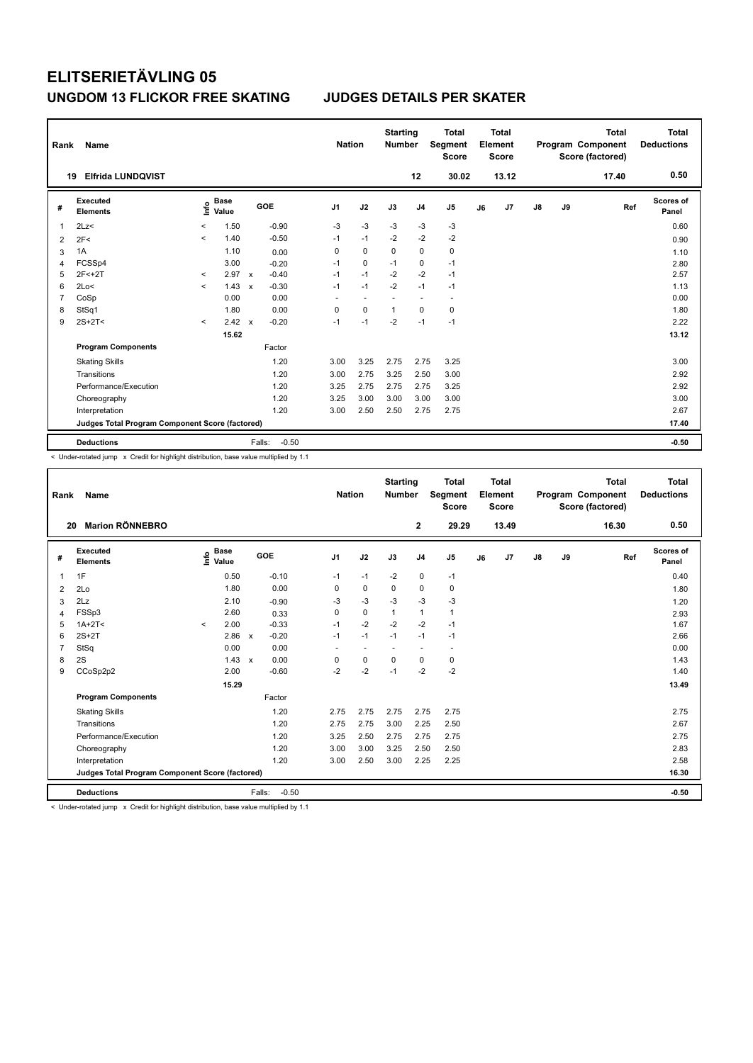| Rank           | Name                                            |         |                                  |                           |                   | <b>Nation</b>            |                          | <b>Starting</b><br><b>Number</b> |                          | <b>Total</b><br>Segment<br><b>Score</b> |    | <b>Total</b><br>Element<br><b>Score</b> |               |    | <b>Total</b><br>Program Component<br>Score (factored) | Total<br><b>Deductions</b> |
|----------------|-------------------------------------------------|---------|----------------------------------|---------------------------|-------------------|--------------------------|--------------------------|----------------------------------|--------------------------|-----------------------------------------|----|-----------------------------------------|---------------|----|-------------------------------------------------------|----------------------------|
|                | <b>Elfrida LUNDQVIST</b><br>19                  |         |                                  |                           |                   |                          |                          |                                  | 12                       | 30.02                                   |    | 13.12                                   |               |    | 17.40                                                 | 0.50                       |
| #              | Executed<br><b>Elements</b>                     |         | <b>Base</b><br>e Base<br>⊆ Value |                           | GOE               | J <sub>1</sub>           | J2                       | J3                               | J <sub>4</sub>           | J <sub>5</sub>                          | J6 | J <sub>7</sub>                          | $\mathsf{J}8$ | J9 | Ref                                                   | <b>Scores of</b><br>Panel  |
| 1              | 2Lz<                                            | $\,<\,$ | 1.50                             |                           | $-0.90$           | $-3$                     | $-3$                     | $-3$                             | $-3$                     | $-3$                                    |    |                                         |               |    |                                                       | 0.60                       |
| 2              | 2F<                                             | $\prec$ | 1.40                             |                           | $-0.50$           | $-1$                     | $-1$                     | $-2$                             | $-2$                     | $-2$                                    |    |                                         |               |    |                                                       | 0.90                       |
| 3              | 1A                                              |         | 1.10                             |                           | 0.00              | 0                        | $\mathbf 0$              | $\mathbf 0$                      | $\mathbf 0$              | $\pmb{0}$                               |    |                                         |               |    |                                                       | 1.10                       |
| 4              | FCSSp4                                          |         | 3.00                             |                           | $-0.20$           | $-1$                     | $\Omega$                 | $-1$                             | 0                        | $-1$                                    |    |                                         |               |    |                                                       | 2.80                       |
| 5              | $2F < +2T$                                      | $\prec$ | 2.97                             | $\mathsf{x}$              | $-0.40$           | $-1$                     | $-1$                     | $-2$                             | $-2$                     | $-1$                                    |    |                                         |               |    |                                                       | 2.57                       |
| 6              | 2Lo<                                            | $\prec$ | 1.43                             | $\boldsymbol{\mathsf{x}}$ | $-0.30$           | $-1$                     | $-1$                     | $-2$                             | $-1$                     | $-1$                                    |    |                                         |               |    |                                                       | 1.13                       |
| $\overline{7}$ | CoSp                                            |         | 0.00                             |                           | 0.00              | $\overline{\phantom{a}}$ | $\overline{\phantom{a}}$ |                                  | $\overline{\phantom{a}}$ | $\overline{a}$                          |    |                                         |               |    |                                                       | 0.00                       |
| 8              | StSq1                                           |         | 1.80                             |                           | 0.00              | 0                        | $\Omega$                 | $\overline{1}$                   | $\Omega$                 | $\mathbf 0$                             |    |                                         |               |    |                                                       | 1.80                       |
| 9              | $2S+2T<$                                        | $\prec$ | 2.42                             | $\mathsf{x}$              | $-0.20$           | $-1$                     | $-1$                     | $-2$                             | $-1$                     | $-1$                                    |    |                                         |               |    |                                                       | 2.22                       |
|                |                                                 |         | 15.62                            |                           |                   |                          |                          |                                  |                          |                                         |    |                                         |               |    |                                                       | 13.12                      |
|                | <b>Program Components</b>                       |         |                                  |                           | Factor            |                          |                          |                                  |                          |                                         |    |                                         |               |    |                                                       |                            |
|                | <b>Skating Skills</b>                           |         |                                  |                           | 1.20              | 3.00                     | 3.25                     | 2.75                             | 2.75                     | 3.25                                    |    |                                         |               |    |                                                       | 3.00                       |
|                | Transitions                                     |         |                                  |                           | 1.20              | 3.00                     | 2.75                     | 3.25                             | 2.50                     | 3.00                                    |    |                                         |               |    |                                                       | 2.92                       |
|                | Performance/Execution                           |         |                                  |                           | 1.20              | 3.25                     | 2.75                     | 2.75                             | 2.75                     | 3.25                                    |    |                                         |               |    |                                                       | 2.92                       |
|                | Choreography                                    |         |                                  |                           | 1.20              | 3.25                     | 3.00                     | 3.00                             | 3.00                     | 3.00                                    |    |                                         |               |    |                                                       | 3.00                       |
|                | Interpretation                                  |         |                                  |                           | 1.20              | 3.00                     | 2.50                     | 2.50                             | 2.75                     | 2.75                                    |    |                                         |               |    |                                                       | 2.67                       |
|                | Judges Total Program Component Score (factored) |         |                                  |                           |                   |                          |                          |                                  |                          |                                         |    |                                         |               |    |                                                       | 17.40                      |
|                | <b>Deductions</b>                               |         |                                  |                           | $-0.50$<br>Falls: |                          |                          |                                  |                          |                                         |    |                                         |               |    |                                                       | $-0.50$                    |

< Under-rotated jump x Credit for highlight distribution, base value multiplied by 1.1

| Rank | Name                                            |         |                      |                           |         | <b>Nation</b>  |                          | <b>Starting</b><br><b>Number</b> |                          | <b>Total</b><br>Segment<br>Score |    | <b>Total</b><br>Element<br><b>Score</b> |    |    | <b>Total</b><br>Program Component<br>Score (factored) | <b>Total</b><br><b>Deductions</b> |
|------|-------------------------------------------------|---------|----------------------|---------------------------|---------|----------------|--------------------------|----------------------------------|--------------------------|----------------------------------|----|-----------------------------------------|----|----|-------------------------------------------------------|-----------------------------------|
| 20   | <b>Marion RÖNNEBRO</b>                          |         |                      |                           |         |                |                          |                                  | $\mathbf{2}$             | 29.29                            |    | 13.49                                   |    |    | 16.30                                                 | 0.50                              |
| #    | Executed<br><b>Elements</b>                     | ١nf٥    | <b>Base</b><br>Value |                           | GOE     | J <sub>1</sub> | J2                       | J3                               | J <sub>4</sub>           | J5                               | J6 | J7                                      | J8 | J9 | Ref                                                   | <b>Scores of</b><br>Panel         |
| 1    | 1F                                              |         | 0.50                 |                           | $-0.10$ | $-1$           | $-1$                     | $-2$                             | $\mathbf 0$              | $-1$                             |    |                                         |    |    |                                                       | 0.40                              |
| 2    | 2Lo                                             |         | 1.80                 |                           | 0.00    | 0              | $\mathbf 0$              | 0                                | 0                        | $\mathbf 0$                      |    |                                         |    |    |                                                       | 1.80                              |
| 3    | 2Lz                                             |         | 2.10                 |                           | $-0.90$ | -3             | $-3$                     | -3                               | $-3$                     | $-3$                             |    |                                         |    |    |                                                       | 1.20                              |
| 4    | FSSp3                                           |         | 2.60                 |                           | 0.33    | 0              | $\pmb{0}$                | 1                                | $\mathbf{1}$             | $\mathbf{1}$                     |    |                                         |    |    |                                                       | 2.93                              |
| 5    | $1A+2T2$                                        | $\prec$ | 2.00                 |                           | $-0.33$ | $-1$           | $-2$                     | $-2$                             | $-2$                     | $-1$                             |    |                                         |    |    |                                                       | 1.67                              |
| 6    | $2S+2T$                                         |         | 2.86                 | $\boldsymbol{\mathsf{x}}$ | $-0.20$ | $-1$           | $-1$                     | $-1$                             | $-1$                     | $-1$                             |    |                                         |    |    |                                                       | 2.66                              |
| 7    | StSq                                            |         | 0.00                 |                           | 0.00    | ÷              | $\overline{\phantom{a}}$ | $\overline{\phantom{a}}$         | $\overline{\phantom{a}}$ | $\overline{\phantom{a}}$         |    |                                         |    |    |                                                       | 0.00                              |
| 8    | 2S                                              |         | 1.43                 | $\mathsf{x}$              | 0.00    | 0              | $\pmb{0}$                | $\mathbf 0$                      | $\mathbf 0$              | 0                                |    |                                         |    |    |                                                       | 1.43                              |
| 9    | CCoSp2p2                                        |         | 2.00                 |                           | $-0.60$ | $-2$           | $-2$                     | $-1$                             | $-2$                     | $-2$                             |    |                                         |    |    |                                                       | 1.40                              |
|      |                                                 |         | 15.29                |                           |         |                |                          |                                  |                          |                                  |    |                                         |    |    |                                                       | 13.49                             |
|      | <b>Program Components</b>                       |         |                      |                           | Factor  |                |                          |                                  |                          |                                  |    |                                         |    |    |                                                       |                                   |
|      | <b>Skating Skills</b>                           |         |                      |                           | 1.20    | 2.75           | 2.75                     | 2.75                             | 2.75                     | 2.75                             |    |                                         |    |    |                                                       | 2.75                              |
|      | Transitions                                     |         |                      |                           | 1.20    | 2.75           | 2.75                     | 3.00                             | 2.25                     | 2.50                             |    |                                         |    |    |                                                       | 2.67                              |
|      | Performance/Execution                           |         |                      |                           | 1.20    | 3.25           | 2.50                     | 2.75                             | 2.75                     | 2.75                             |    |                                         |    |    |                                                       | 2.75                              |
|      | Choreography                                    |         |                      |                           | 1.20    | 3.00           | 3.00                     | 3.25                             | 2.50                     | 2.50                             |    |                                         |    |    |                                                       | 2.83                              |
|      | Interpretation                                  |         |                      |                           | 1.20    | 3.00           | 2.50                     | 3.00                             | 2.25                     | 2.25                             |    |                                         |    |    |                                                       | 2.58                              |
|      | Judges Total Program Component Score (factored) |         |                      |                           |         |                |                          |                                  |                          |                                  |    |                                         |    |    |                                                       | 16.30                             |
|      | <b>Deductions</b>                               |         |                      | Falls:                    | $-0.50$ |                |                          |                                  |                          |                                  |    |                                         |    |    |                                                       | $-0.50$                           |

< Under-rotated jump x Credit for highlight distribution, base value multiplied by 1.1